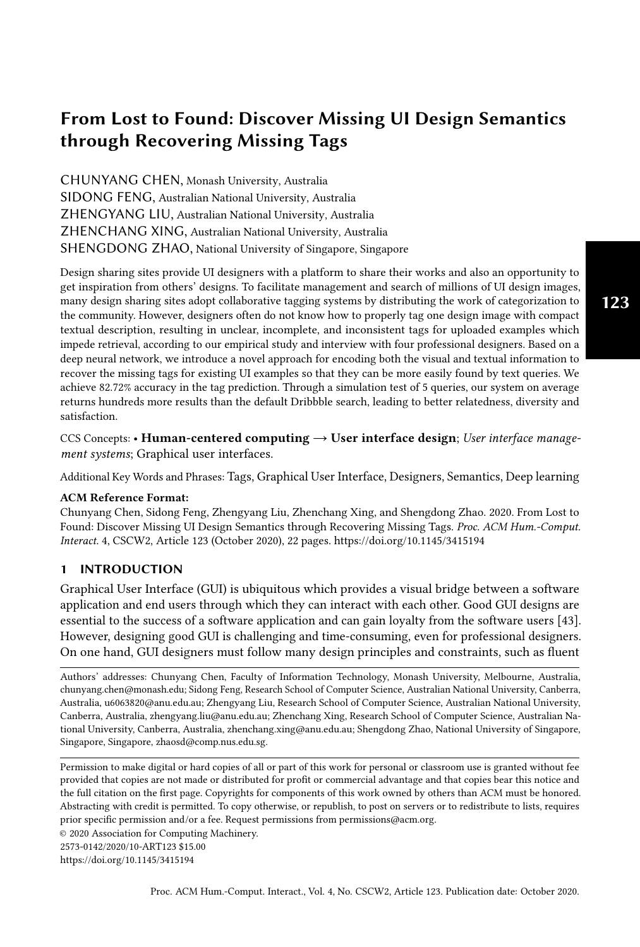CHUNYANG CHEN, Monash University, Australia SIDONG FENG, Australian National University, Australia ZHENGYANG LIU, Australian National University, Australia ZHENCHANG XING, Australian National University, Australia SHENGDONG ZHAO, National University of Singapore, Singapore

Design sharing sites provide UI designers with a platform to share their works and also an opportunity to get inspiration from others' designs. To facilitate management and search of millions of UI design images, many design sharing sites adopt collaborative tagging systems by distributing the work of categorization to the community. However, designers often do not know how to properly tag one design image with compact textual description, resulting in unclear, incomplete, and inconsistent tags for uploaded examples which impede retrieval, according to our empirical study and interview with four professional designers. Based on a deep neural network, we introduce a novel approach for encoding both the visual and textual information to recover the missing tags for existing UI examples so that they can be more easily found by text queries. We achieve 82.72% accuracy in the tag prediction. Through a simulation test of 5 queries, our system on average returns hundreds more results than the default Dribbble search, leading to better relatedness, diversity and satisfaction.

CCS Concepts: • Human-centered computing  $\rightarrow$  User interface design; User interface management systems; Graphical user interfaces.

Additional Key Words and Phrases: Tags, Graphical User Interface, Designers, Semantics, Deep learning

#### ACM Reference Format:

Chunyang Chen, Sidong Feng, Zhengyang Liu, Zhenchang Xing, and Shengdong Zhao. 2020. From Lost to Found: Discover Missing UI Design Semantics through Recovering Missing Tags. Proc. ACM Hum.-Comput. Interact. 4, CSCW2, Article 123 (October 2020), [22](#page-21-0) pages.<https://doi.org/10.1145/3415194>

#### 1 INTRODUCTION

Graphical User Interface (GUI) is ubiquitous which provides a visual bridge between a software application and end users through which they can interact with each other. Good GUI designs are essential to the success of a software application and can gain loyalty from the software users [\[43\]](#page-20-0). However, designing good GUI is challenging and time-consuming, even for professional designers. On one hand, GUI designers must follow many design principles and constraints, such as fluent

Authors' addresses: Chunyang Chen, Faculty of Information Technology, Monash University, Melbourne, Australia, chunyang.chen@monash.edu; Sidong Feng, Research School of Computer Science, Australian National University, Canberra, Australia, u6063820@anu.edu.au; Zhengyang Liu, Research School of Computer Science, Australian National University, Canberra, Australia, zhengyang.liu@anu.edu.au; Zhenchang Xing, Research School of Computer Science, Australian National University, Canberra, Australia, zhenchang.xing@anu.edu.au; Shengdong Zhao, National University of Singapore, Singapore, Singapore, zhaosd@comp.nus.edu.sg.

Permission to make digital or hard copies of all or part of this work for personal or classroom use is granted without fee provided that copies are not made or distributed for profit or commercial advantage and that copies bear this notice and the full citation on the first page. Copyrights for components of this work owned by others than ACM must be honored. Abstracting with credit is permitted. To copy otherwise, or republish, to post on servers or to redistribute to lists, requires prior specific permission and/or a fee. Request permissions from permissions@acm.org.

© 2020 Association for Computing Machinery.

2573-0142/2020/10-ART123 \$15.00

<https://doi.org/10.1145/3415194>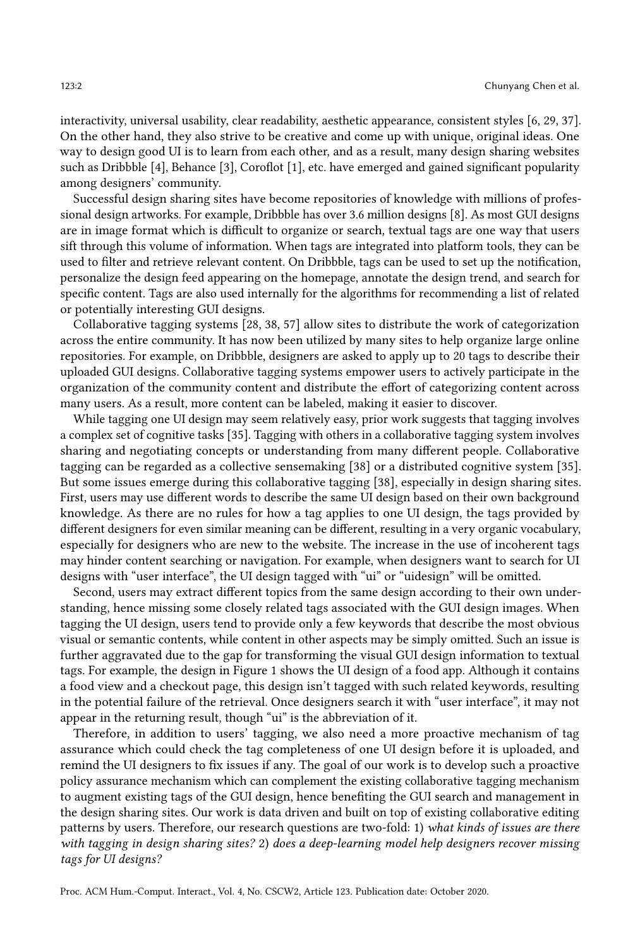interactivity, universal usability, clear readability, aesthetic appearance, consistent styles [\[6,](#page-19-0) [29,](#page-20-1) [37\]](#page-20-2). On the other hand, they also strive to be creative and come up with unique, original ideas. One way to design good UI is to learn from each other, and as a result, many design sharing websites such as Dribbble [\[4\]](#page-19-1), Behance [\[3\]](#page-19-2), Coroflot [\[1\]](#page-19-3), etc. have emerged and gained significant popularity among designers' community.

Successful design sharing sites have become repositories of knowledge with millions of professional design artworks. For example, Dribbble has over 3.6 million designs [\[8\]](#page-19-4). As most GUI designs are in image format which is difficult to organize or search, textual tags are one way that users sift through this volume of information. When tags are integrated into platform tools, they can be used to filter and retrieve relevant content. On Dribbble, tags can be used to set up the notification, personalize the design feed appearing on the homepage, annotate the design trend, and search for specific content. Tags are also used internally for the algorithms for recommending a list of related or potentially interesting GUI designs.

Collaborative tagging systems [\[28,](#page-20-3) [38,](#page-20-4) [57\]](#page-21-1) allow sites to distribute the work of categorization across the entire community. It has now been utilized by many sites to help organize large online repositories. For example, on Dribbble, designers are asked to apply up to 20 tags to describe their uploaded GUI designs. Collaborative tagging systems empower users to actively participate in the organization of the community content and distribute the effort of categorizing content across many users. As a result, more content can be labeled, making it easier to discover.

While tagging one UI design may seem relatively easy, prior work suggests that tagging involves a complex set of cognitive tasks [\[35\]](#page-20-5). Tagging with others in a collaborative tagging system involves sharing and negotiating concepts or understanding from many different people. Collaborative tagging can be regarded as a collective sensemaking [\[38\]](#page-20-4) or a distributed cognitive system [\[35\]](#page-20-5). But some issues emerge during this collaborative tagging [\[38\]](#page-20-4), especially in design sharing sites. First, users may use different words to describe the same UI design based on their own background knowledge. As there are no rules for how a tag applies to one UI design, the tags provided by different designers for even similar meaning can be different, resulting in a very organic vocabulary, especially for designers who are new to the website. The increase in the use of incoherent tags may hinder content searching or navigation. For example, when designers want to search for UI designs with "user interface", the UI design tagged with "ui" or "uidesign" will be omitted.

Second, users may extract different topics from the same design according to their own understanding, hence missing some closely related tags associated with the GUI design images. When tagging the UI design, users tend to provide only a few keywords that describe the most obvious visual or semantic contents, while content in other aspects may be simply omitted. Such an issue is further aggravated due to the gap for transforming the visual GUI design information to textual tags. For example, the design in Figure [1](#page-2-0) shows the UI design of a food app. Although it contains a food view and a checkout page, this design isn't tagged with such related keywords, resulting in the potential failure of the retrieval. Once designers search it with "user interface", it may not appear in the returning result, though "ui" is the abbreviation of it.

Therefore, in addition to users' tagging, we also need a more proactive mechanism of tag assurance which could check the tag completeness of one UI design before it is uploaded, and remind the UI designers to fix issues if any. The goal of our work is to develop such a proactive policy assurance mechanism which can complement the existing collaborative tagging mechanism to augment existing tags of the GUI design, hence benefiting the GUI search and management in the design sharing sites. Our work is data driven and built on top of existing collaborative editing patterns by users. Therefore, our research questions are two-fold: 1) what kinds of issues are there with tagging in design sharing sites? 2) does a deep-learning model help designers recover missing tags for UI designs?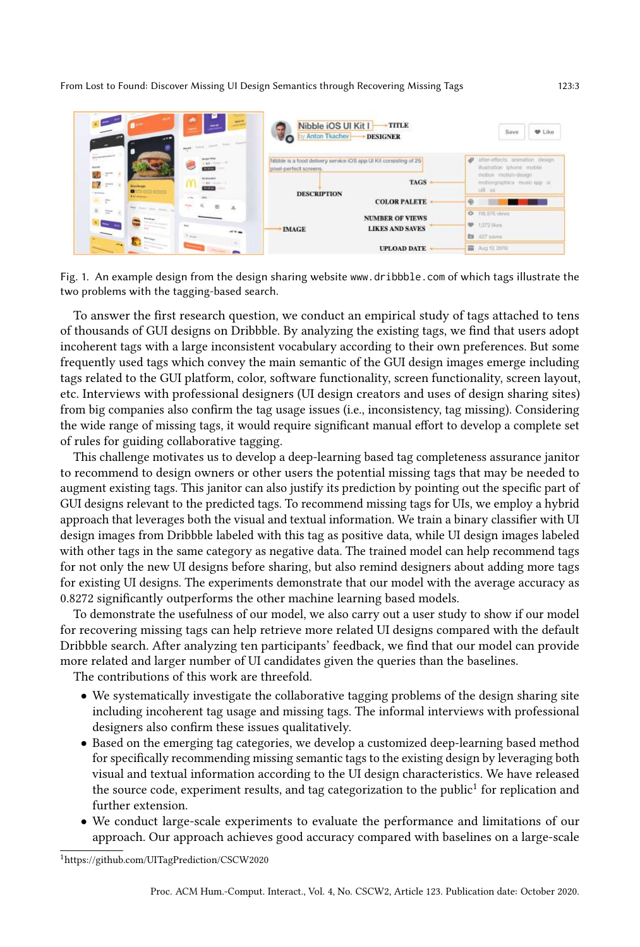<span id="page-2-0"></span>

Fig. 1. An example design from the design sharing website www.dribbble.com of which tags illustrate the two problems with the tagging-based search.

To answer the first research question, we conduct an empirical study of tags attached to tens of thousands of GUI designs on Dribbble. By analyzing the existing tags, we find that users adopt incoherent tags with a large inconsistent vocabulary according to their own preferences. But some frequently used tags which convey the main semantic of the GUI design images emerge including tags related to the GUI platform, color, software functionality, screen functionality, screen layout, etc. Interviews with professional designers (UI design creators and uses of design sharing sites) from big companies also confirm the tag usage issues (i.e., inconsistency, tag missing). Considering the wide range of missing tags, it would require significant manual effort to develop a complete set of rules for guiding collaborative tagging.

This challenge motivates us to develop a deep-learning based tag completeness assurance janitor to recommend to design owners or other users the potential missing tags that may be needed to augment existing tags. This janitor can also justify its prediction by pointing out the specific part of GUI designs relevant to the predicted tags. To recommend missing tags for UIs, we employ a hybrid approach that leverages both the visual and textual information. We train a binary classifier with UI design images from Dribbble labeled with this tag as positive data, while UI design images labeled with other tags in the same category as negative data. The trained model can help recommend tags for not only the new UI designs before sharing, but also remind designers about adding more tags for existing UI designs. The experiments demonstrate that our model with the average accuracy as 0.8272 significantly outperforms the other machine learning based models.

To demonstrate the usefulness of our model, we also carry out a user study to show if our model for recovering missing tags can help retrieve more related UI designs compared with the default Dribbble search. After analyzing ten participants' feedback, we find that our model can provide more related and larger number of UI candidates given the queries than the baselines.

The contributions of this work are threefold.

- We systematically investigate the collaborative tagging problems of the design sharing site including incoherent tag usage and missing tags. The informal interviews with professional designers also confirm these issues qualitatively.
- Based on the emerging tag categories, we develop a customized deep-learning based method for specifically recommending missing semantic tags to the existing design by leveraging both visual and textual information according to the UI design characteristics. We have released the source code, experiment results, and tag categorization to the public $^1$  $^1$  for replication and further extension.
- We conduct large-scale experiments to evaluate the performance and limitations of our approach. Our approach achieves good accuracy compared with baselines on a large-scale

<span id="page-2-1"></span><sup>1</sup><https://github.com/UITagPrediction/CSCW2020>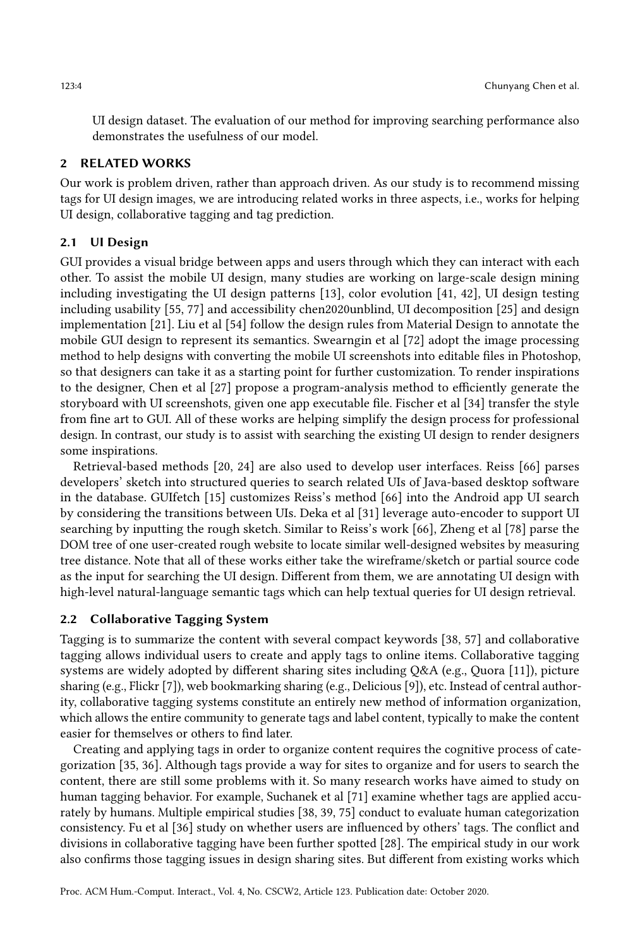UI design dataset. The evaluation of our method for improving searching performance also demonstrates the usefulness of our model.

#### 2 RELATED WORKS

Our work is problem driven, rather than approach driven. As our study is to recommend missing tags for UI design images, we are introducing related works in three aspects, i.e., works for helping UI design, collaborative tagging and tag prediction.

# 2.1 UI Design

GUI provides a visual bridge between apps and users through which they can interact with each other. To assist the mobile UI design, many studies are working on large-scale design mining including investigating the UI design patterns [\[13\]](#page-19-5), color evolution [\[41,](#page-20-6) [42\]](#page-20-7), UI design testing including usability [\[55,](#page-21-2) [77\]](#page-21-3) and accessibility chen2020unblind, UI decomposition [\[25\]](#page-19-6) and design implementation [\[21\]](#page-19-7). Liu et al [\[54\]](#page-21-4) follow the design rules from Material Design to annotate the mobile GUI design to represent its semantics. Swearngin et al [\[72\]](#page-21-5) adopt the image processing method to help designs with converting the mobile UI screenshots into editable files in Photoshop, so that designers can take it as a starting point for further customization. To render inspirations to the designer, Chen et al [\[27\]](#page-20-8) propose a program-analysis method to efficiently generate the storyboard with UI screenshots, given one app executable file. Fischer et al [\[34\]](#page-20-9) transfer the style from fine art to GUI. All of these works are helping simplify the design process for professional design. In contrast, our study is to assist with searching the existing UI design to render designers some inspirations.

Retrieval-based methods [\[20,](#page-19-8) [24\]](#page-19-9) are also used to develop user interfaces. Reiss [\[66\]](#page-21-6) parses developers' sketch into structured queries to search related UIs of Java-based desktop software in the database. GUIfetch [\[15\]](#page-19-10) customizes Reiss's method [\[66\]](#page-21-6) into the Android app UI search by considering the transitions between UIs. Deka et al [\[31\]](#page-20-10) leverage auto-encoder to support UI searching by inputting the rough sketch. Similar to Reiss's work [\[66\]](#page-21-6), Zheng et al [\[78\]](#page-21-7) parse the DOM tree of one user-created rough website to locate similar well-designed websites by measuring tree distance. Note that all of these works either take the wireframe/sketch or partial source code as the input for searching the UI design. Different from them, we are annotating UI design with high-level natural-language semantic tags which can help textual queries for UI design retrieval.

#### 2.2 Collaborative Tagging System

Tagging is to summarize the content with several compact keywords [\[38,](#page-20-4) [57\]](#page-21-1) and collaborative tagging allows individual users to create and apply tags to online items. Collaborative tagging systems are widely adopted by different sharing sites including Q&A (e.g., Quora [\[11\]](#page-19-11)), picture sharing (e.g., Flickr [\[7\]](#page-19-12)), web bookmarking sharing (e.g., Delicious [\[9\]](#page-19-13)), etc. Instead of central authority, collaborative tagging systems constitute an entirely new method of information organization, which allows the entire community to generate tags and label content, typically to make the content easier for themselves or others to find later.

Creating and applying tags in order to organize content requires the cognitive process of categorization [\[35,](#page-20-5) [36\]](#page-20-11). Although tags provide a way for sites to organize and for users to search the content, there are still some problems with it. So many research works have aimed to study on human tagging behavior. For example, Suchanek et al [\[71\]](#page-21-8) examine whether tags are applied accurately by humans. Multiple empirical studies [\[38,](#page-20-4) [39,](#page-20-12) [75\]](#page-21-9) conduct to evaluate human categorization consistency. Fu et al [\[36\]](#page-20-11) study on whether users are influenced by others' tags. The conflict and divisions in collaborative tagging have been further spotted [\[28\]](#page-20-3). The empirical study in our work also confirms those tagging issues in design sharing sites. But different from existing works which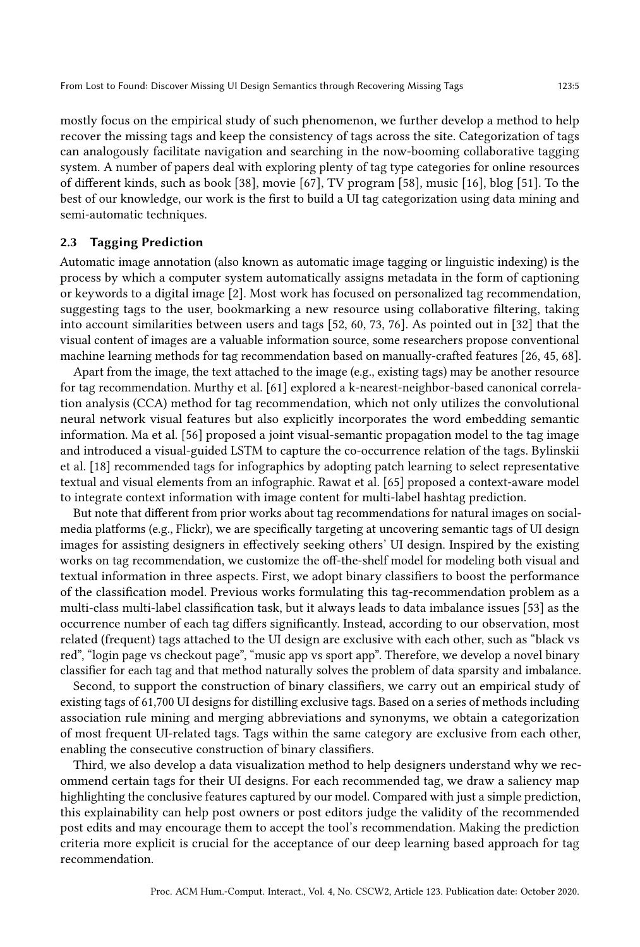mostly focus on the empirical study of such phenomenon, we further develop a method to help recover the missing tags and keep the consistency of tags across the site. Categorization of tags can analogously facilitate navigation and searching in the now-booming collaborative tagging system. A number of papers deal with exploring plenty of tag type categories for online resources of different kinds, such as book [\[38\]](#page-20-4), movie [\[67\]](#page-21-10), TV program [\[58\]](#page-21-11), music [\[16\]](#page-19-14), blog [\[51\]](#page-20-13). To the best of our knowledge, our work is the first to build a UI tag categorization using data mining and semi-automatic techniques.

## 2.3 Tagging Prediction

Automatic image annotation (also known as automatic image tagging or linguistic indexing) is the process by which a computer system automatically assigns metadata in the form of captioning or keywords to a digital image [\[2\]](#page-19-15). Most work has focused on personalized tag recommendation, suggesting tags to the user, bookmarking a new resource using collaborative filtering, taking into account similarities between users and tags [\[52,](#page-20-14) [60,](#page-21-12) [73,](#page-21-13) [76\]](#page-21-14). As pointed out in [\[32\]](#page-20-15) that the visual content of images are a valuable information source, some researchers propose conventional machine learning methods for tag recommendation based on manually-crafted features [\[26,](#page-19-16) [45,](#page-20-16) [68\]](#page-21-15).

Apart from the image, the text attached to the image (e.g., existing tags) may be another resource for tag recommendation. Murthy et al. [\[61\]](#page-21-16) explored a k-nearest-neighbor-based canonical correlation analysis (CCA) method for tag recommendation, which not only utilizes the convolutional neural network visual features but also explicitly incorporates the word embedding semantic information. Ma et al. [\[56\]](#page-21-17) proposed a joint visual-semantic propagation model to the tag image and introduced a visual-guided LSTM to capture the co-occurrence relation of the tags. Bylinskii et al. [\[18\]](#page-19-17) recommended tags for infographics by adopting patch learning to select representative textual and visual elements from an infographic. Rawat et al. [\[65\]](#page-21-18) proposed a context-aware model to integrate context information with image content for multi-label hashtag prediction.

But note that different from prior works about tag recommendations for natural images on socialmedia platforms (e.g., Flickr), we are specifically targeting at uncovering semantic tags of UI design images for assisting designers in effectively seeking others' UI design. Inspired by the existing works on tag recommendation, we customize the off-the-shelf model for modeling both visual and textual information in three aspects. First, we adopt binary classifiers to boost the performance of the classification model. Previous works formulating this tag-recommendation problem as a multi-class multi-label classification task, but it always leads to data imbalance issues [\[53\]](#page-20-17) as the occurrence number of each tag differs significantly. Instead, according to our observation, most related (frequent) tags attached to the UI design are exclusive with each other, such as "black vs red", "login page vs checkout page", "music app vs sport app". Therefore, we develop a novel binary classifier for each tag and that method naturally solves the problem of data sparsity and imbalance.

Second, to support the construction of binary classifiers, we carry out an empirical study of existing tags of 61,700 UI designs for distilling exclusive tags. Based on a series of methods including association rule mining and merging abbreviations and synonyms, we obtain a categorization of most frequent UI-related tags. Tags within the same category are exclusive from each other, enabling the consecutive construction of binary classifiers.

Third, we also develop a data visualization method to help designers understand why we recommend certain tags for their UI designs. For each recommended tag, we draw a saliency map highlighting the conclusive features captured by our model. Compared with just a simple prediction, this explainability can help post owners or post editors judge the validity of the recommended post edits and may encourage them to accept the tool's recommendation. Making the prediction criteria more explicit is crucial for the acceptance of our deep learning based approach for tag recommendation.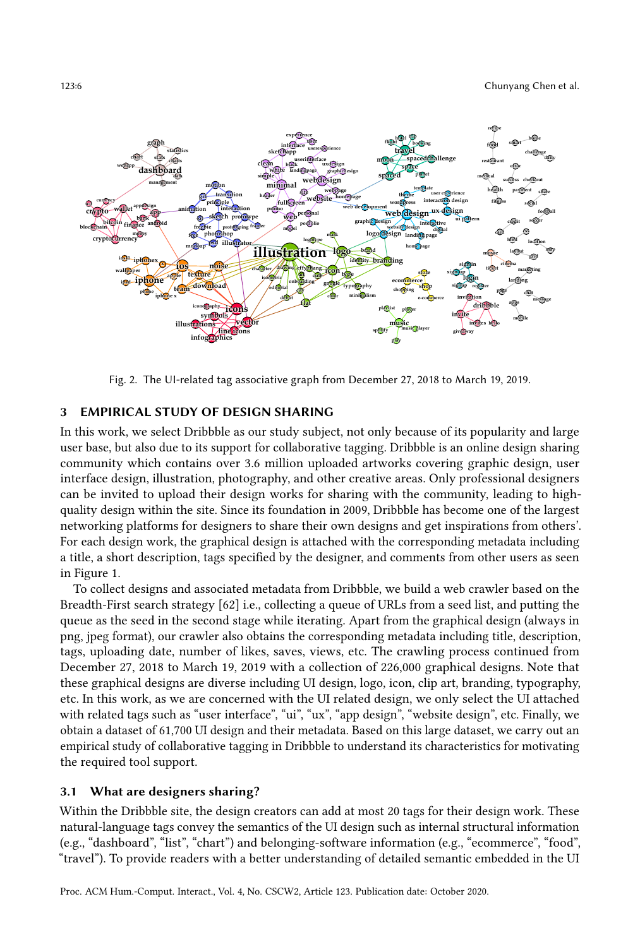<span id="page-5-0"></span>

Fig. 2. The UI-related tag associative graph from December 27, 2018 to March 19, 2019.

#### <span id="page-5-1"></span>3 EMPIRICAL STUDY OF DESIGN SHARING

In this work, we select Dribbble as our study subject, not only because of its popularity and large user base, but also due to its support for collaborative tagging. Dribbble is an online design sharing community which contains over 3.6 million uploaded artworks covering graphic design, user interface design, illustration, photography, and other creative areas. Only professional designers can be invited to upload their design works for sharing with the community, leading to highquality design within the site. Since its foundation in 2009, Dribbble has become one of the largest networking platforms for designers to share their own designs and get inspirations from others'. For each design work, the graphical design is attached with the corresponding metadata including a title, a short description, tags specified by the designer, and comments from other users as seen in Figure [1.](#page-2-0)

To collect designs and associated metadata from Dribbble, we build a web crawler based on the Breadth-First search strategy [\[62\]](#page-21-19) i.e., collecting a queue of URLs from a seed list, and putting the queue as the seed in the second stage while iterating. Apart from the graphical design (always in png, jpeg format), our crawler also obtains the corresponding metadata including title, description, tags, uploading date, number of likes, saves, views, etc. The crawling process continued from December 27, 2018 to March 19, 2019 with a collection of 226,000 graphical designs. Note that these graphical designs are diverse including UI design, logo, icon, clip art, branding, typography, etc. In this work, as we are concerned with the UI related design, we only select the UI attached with related tags such as "user interface", "ui", "ux", "app design", "website design", etc. Finally, we obtain a dataset of 61,700 UI design and their metadata. Based on this large dataset, we carry out an empirical study of collaborative tagging in Dribbble to understand its characteristics for motivating the required tool support.

#### 3.1 What are designers sharing?

Within the Dribbble site, the design creators can add at most 20 tags for their design work. These natural-language tags convey the semantics of the UI design such as internal structural information (e.g., "dashboard", "list", "chart") and belonging-software information (e.g., "ecommerce", "food", "travel"). To provide readers with a better understanding of detailed semantic embedded in the UI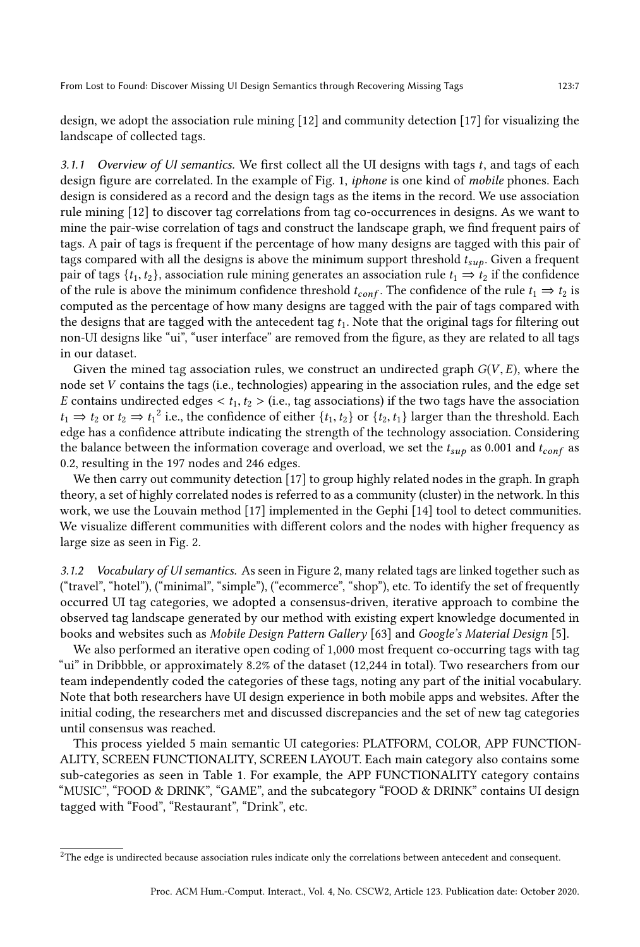design, we adopt the association rule mining [\[12\]](#page-19-18) and community detection [\[17\]](#page-19-19) for visualizing the landscape of collected tags.

3.1.1 Overview of UI semantics. We first collect all the UI designs with tags  $t$ , and tags of each design figure are correlated. In the example of Fig. [1,](#page-2-0) iphone is one kind of mobile phones. Each design is considered as a record and the design tags as the items in the record. We use association rule mining [\[12\]](#page-19-18) to discover tag correlations from tag co-occurrences in designs. As we want to mine the pair-wise correlation of tags and construct the landscape graph, we find frequent pairs of tags. A pair of tags is frequent if the percentage of how many designs are tagged with this pair of tags compared with all the designs is above the minimum support threshold  $t_{sub}$ . Given a frequent pair of tags  $\{t_1, t_2\}$ , association rule mining generates an association rule  $t_1 \Rightarrow t_2$  if the confidence of the rule is above the minimum confidence threshold  $t_{conf}$ . The confidence of the rule  $t_1 \Rightarrow t_2$  is computed as the percentage of how many designs are tagged with the pair of tags compared with the designs that are tagged with the antecedent tag  $t_1$ . Note that the original tags for filtering out non-UI designs like "ui", "user interface" are removed from the figure, as they are related to all tags in our dataset.

Given the mined tag association rules, we construct an undirected graph  $G(V, E)$ , where the node set V contains the tags (i.e., technologies) appearing in the association rules, and the edge set E contains undirected edges  $\lt t_1, t_2$   $\gt$  (i.e., tag associations) if the two tags have the association  $t_1 \Rightarrow t_2$  $t_1 \Rightarrow t_2$  or  $t_2 \Rightarrow t_1^2$  i.e., the confidence of either  $\{t_1, t_2\}$  or  $\{t_2, t_1\}$  larger than the threshold. Each edge has a confidence attribute indicating the strength of the technology association. Considering edge has a confidence attribute indicating the strength of the technology association. Considering the balance between the information coverage and overload, we set the  $t_{sub}$  as 0.001 and  $t_{conf}$  as 0.2, resulting in the 197 nodes and 246 edges.

We then carry out community detection [\[17\]](#page-19-19) to group highly related nodes in the graph. In graph theory, a set of highly correlated nodes is referred to as a community (cluster) in the network. In this work, we use the Louvain method [\[17\]](#page-19-19) implemented in the Gephi [\[14\]](#page-19-20) tool to detect communities. We visualize different communities with different colors and the nodes with higher frequency as large size as seen in Fig. [2.](#page-5-0)

3.1.2 Vocabulary of UI semantics. As seen in Figure [2,](#page-5-0) many related tags are linked together such as ("travel", "hotel"), ("minimal", "simple"), ("ecommerce", "shop"), etc. To identify the set of frequently occurred UI tag categories, we adopted a consensus-driven, iterative approach to combine the observed tag landscape generated by our method with existing expert knowledge documented in books and websites such as Mobile Design Pattern Gallery [\[63\]](#page-21-20) and Google's Material Design [\[5\]](#page-19-21).

We also performed an iterative open coding of 1,000 most frequent co-occurring tags with tag "ui" in Dribbble, or approximately 8.2% of the dataset (12,244 in total). Two researchers from our team independently coded the categories of these tags, noting any part of the initial vocabulary. Note that both researchers have UI design experience in both mobile apps and websites. After the initial coding, the researchers met and discussed discrepancies and the set of new tag categories until consensus was reached.

This process yielded 5 main semantic UI categories: PLATFORM, COLOR, APP FUNCTION-ALITY, SCREEN FUNCTIONALITY, SCREEN LAYOUT. Each main category also contains some sub-categories as seen in Table [1.](#page-7-0) For example, the APP FUNCTIONALITY category contains "MUSIC", "FOOD & DRINK", "GAME", and the subcategory "FOOD & DRINK" contains UI design tagged with "Food", "Restaurant", "Drink", etc.

<span id="page-6-0"></span> ${}^{2}\mathrm{The}$  edge is undirected because association rules indicate only the correlations between antecedent and consequent.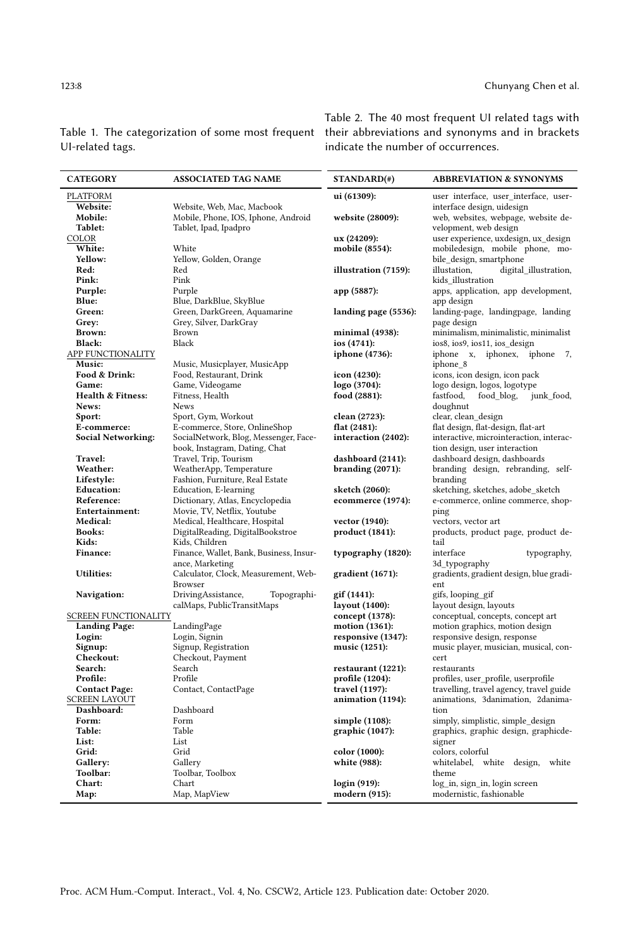| <b>CATEGORY</b>      | <b>ASSOCIATED TAG NAME</b>                             | STANDARD(#)          | <b>ABBREVIATION &amp; SYNONYMS</b>                   |
|----------------------|--------------------------------------------------------|----------------------|------------------------------------------------------|
| PLATFORM             |                                                        | ui (61309):          | user interface, user interface, user-                |
| Website:             | Website, Web, Mac, Macbook                             |                      | interface design, uidesign                           |
| Mobile:              | Mobile, Phone, IOS, Iphone, Android                    | website (28009):     | web, websites, webpage, website de-                  |
| Tablet:              | Tablet, Ipad, Ipadpro                                  |                      | velopment, web design                                |
| COLOR                |                                                        | ux (24209):          | user experience, uxdesign, ux_design                 |
| White:               | White                                                  | mobile (8554):       | mobiledesign, mobile phone, mo-                      |
| Yellow:              | Yellow, Golden, Orange                                 |                      | bile design, smartphone                              |
| Red:                 | Red                                                    | illustration (7159): | illustation.<br>digital_illustration,                |
| Pink:                | Pink                                                   |                      | kids_illustration                                    |
| Purple:              | Purple                                                 | app (5887):          | apps, application, app development,                  |
| Blue:                | Blue, DarkBlue, SkyBlue                                |                      | app design                                           |
| Green:               | Green, DarkGreen, Aquamarine                           | landing page (5536): | landing-page, landingpage, landing                   |
| Grey:                | Grey, Silver, DarkGray                                 |                      | page design                                          |
| Brown:               | Brown                                                  | minimal (4938):      | minimalism, minimalistic, minimalist                 |
| <b>Black:</b>        | Black                                                  | ios (4741):          | ios8, ios9, ios11, ios design                        |
| APP FUNCTIONALITY    |                                                        | iphone (4736):       | iphone x, iphonex, iphone<br>7,                      |
| Music:               | Music, Musicplayer, MusicApp                           |                      | iphone 8                                             |
| Food & Drink:        | Food, Restaurant, Drink                                | icon (4230):         | icons, icon design, icon pack                        |
| Game:                | Game, Videogame                                        | logo (3704):         | logo design, logos, logotype                         |
| Health & Fitness:    | Fitness, Health                                        | food (2881):         | food blog,<br>fastfood,<br>junk food,                |
| News:                | <b>News</b>                                            |                      | doughnut                                             |
| Sport:               | Sport, Gym, Workout                                    | clean (2723):        | clear, clean_design                                  |
| E-commerce:          | E-commerce, Store, OnlineShop                          | flat (2481):         | flat design, flat-design, flat-art                   |
| Social Networking:   | SocialNetwork, Blog, Messenger, Face-                  | interaction (2402):  | interactive, microinteraction, interac-              |
|                      | book, Instagram, Dating, Chat                          |                      | tion design, user interaction                        |
| Travel:              | Travel, Trip, Tourism                                  | dashboard (2141):    | dashboard design, dashboards                         |
| Weather:             | WeatherApp, Temperature                                | branding $(2071)$ :  | branding design, rebranding, self-                   |
| Lifestyle:           | Fashion, Furniture, Real Estate                        |                      | branding                                             |
| <b>Education:</b>    | Education, E-learning                                  | sketch (2060):       | sketching, sketches, adobe_sketch                    |
| Reference:           | Dictionary, Atlas, Encyclopedia                        | ecommerce (1974):    | e-commerce, online commerce, shop-                   |
| Entertainment:       | Movie, TV, Netflix, Youtube                            |                      | ping                                                 |
| Medical:             | Medical, Healthcare, Hospital                          | vector (1940):       | vectors, vector art                                  |
| <b>Books:</b>        | DigitalReading, DigitalBookstroe                       | product (1841):      | products, product page, product de-                  |
| Kids:                | Kids, Children                                         |                      | tail                                                 |
| <b>Finance:</b>      | Finance, Wallet, Bank, Business, Insur-                | typography (1820):   | interface<br>typography,                             |
|                      | ance, Marketing                                        |                      | 3d typography                                        |
| <b>Utilities:</b>    | Calculator, Clock, Measurement, Web-<br><b>Browser</b> | gradient (1671):     | gradients, gradient design, blue gradi-<br>ent       |
| Navigation:          | DrivingAssistance,<br>Topographi-                      | gif (1441):          | gifs, looping_gif                                    |
|                      | calMaps, PublicTransitMaps                             | layout (1400):       | layout design, layouts                               |
| SCREEN FUNCTIONALITY |                                                        | concept (1378):      | conceptual, concepts, concept art                    |
| <b>Landing Page:</b> | LandingPage                                            | motion (1361):       | motion graphics, motion design                       |
| Login:               | Login, Signin                                          | responsive (1347):   | responsive design, response                          |
| Signup:              | Signup, Registration                                   | music (1251):        | music player, musician, musical, con-                |
| Checkout:            | Checkout, Payment                                      |                      | cert                                                 |
| Search:              | Search                                                 | restaurant (1221):   | restaurants                                          |
| Profile:             | Profile                                                | profile (1204):      | $\operatorname{profiles},$ user_profile, userprofile |
| <b>Contact Page:</b> | Contact, ContactPage                                   | travel (1197):       | travelling, travel agency, travel guide              |
| <b>SCREEN LAYOUT</b> |                                                        | animation (1194):    | animations, 3danimation, 2danima-                    |
| Dashboard:           | Dashboard                                              |                      | tion                                                 |
| Form:                | Form                                                   | simple (1108):       | simply, simplistic, simple_design                    |
| Table:               | Table                                                  | graphic (1047):      | graphics, graphic design, graphicde-                 |
| List:                | List                                                   |                      | signer                                               |
| Grid:                | Grid                                                   | color (1000):        | colors, colorful                                     |
| Gallery:             | Gallery                                                | white (988):         | whitelabel, white design,<br>white                   |
| Toolbar:             | Toolbar, Toolbox                                       |                      | theme                                                |
| Chart:               | Chart                                                  | login (919):         | log_in, sign_in, login screen                        |
| Map:                 | Map, MapView                                           | modern (915):        | modernistic, fashionable                             |

<span id="page-7-0"></span>Table 1. The categorization of some most frequent their abbreviations and synonyms and in brackets UI-related tags.

Table 2. The 40 most frequent UI related tags with indicate the number of occurrences.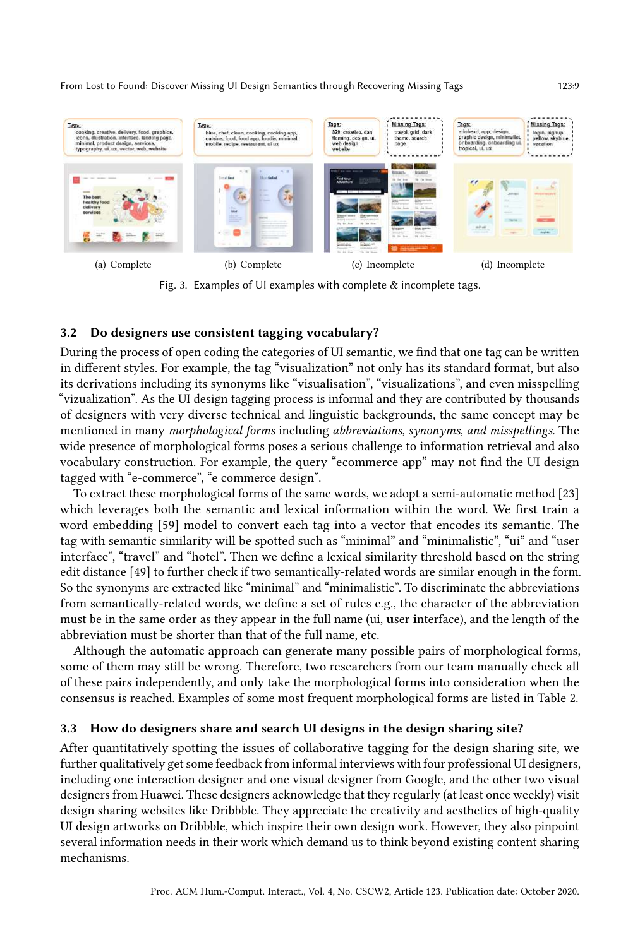<span id="page-8-0"></span>

Fig. 3. Examples of UI examples with complete & incomplete tags.

#### <span id="page-8-1"></span>3.2 Do designers use consistent tagging vocabulary?

During the process of open coding the categories of UI semantic, we find that one tag can be written in different styles. For example, the tag "visualization" not only has its standard format, but also its derivations including its synonyms like "visualisation", "visualizations", and even misspelling "vizualization". As the UI design tagging process is informal and they are contributed by thousands of designers with very diverse technical and linguistic backgrounds, the same concept may be mentioned in many morphological forms including abbreviations, synonyms, and misspellings. The wide presence of morphological forms poses a serious challenge to information retrieval and also vocabulary construction. For example, the query "ecommerce app" may not find the UI design tagged with "e-commerce", "e commerce design".

To extract these morphological forms of the same words, we adopt a semi-automatic method [\[23\]](#page-19-22) which leverages both the semantic and lexical information within the word. We first train a word embedding [\[59\]](#page-21-21) model to convert each tag into a vector that encodes its semantic. The tag with semantic similarity will be spotted such as "minimal" and "minimalistic", "ui" and "user interface", "travel" and "hotel". Then we define a lexical similarity threshold based on the string edit distance [\[49\]](#page-20-18) to further check if two semantically-related words are similar enough in the form. So the synonyms are extracted like "minimal" and "minimalistic". To discriminate the abbreviations from semantically-related words, we define a set of rules e.g., the character of the abbreviation must be in the same order as they appear in the full name (ui, user interface), and the length of the abbreviation must be shorter than that of the full name, etc.

Although the automatic approach can generate many possible pairs of morphological forms, some of them may still be wrong. Therefore, two researchers from our team manually check all of these pairs independently, and only take the morphological forms into consideration when the consensus is reached. Examples of some most frequent morphological forms are listed in Table [2.](#page-7-0)

### 3.3 How do designers share and search UI designs in the design sharing site?

After quantitatively spotting the issues of collaborative tagging for the design sharing site, we further qualitatively get some feedback from informal interviews with four professional UI designers, including one interaction designer and one visual designer from Google, and the other two visual designers from Huawei. These designers acknowledge that they regularly (at least once weekly) visit design sharing websites like Dribbble. They appreciate the creativity and aesthetics of high-quality UI design artworks on Dribbble, which inspire their own design work. However, they also pinpoint several information needs in their work which demand us to think beyond existing content sharing mechanisms.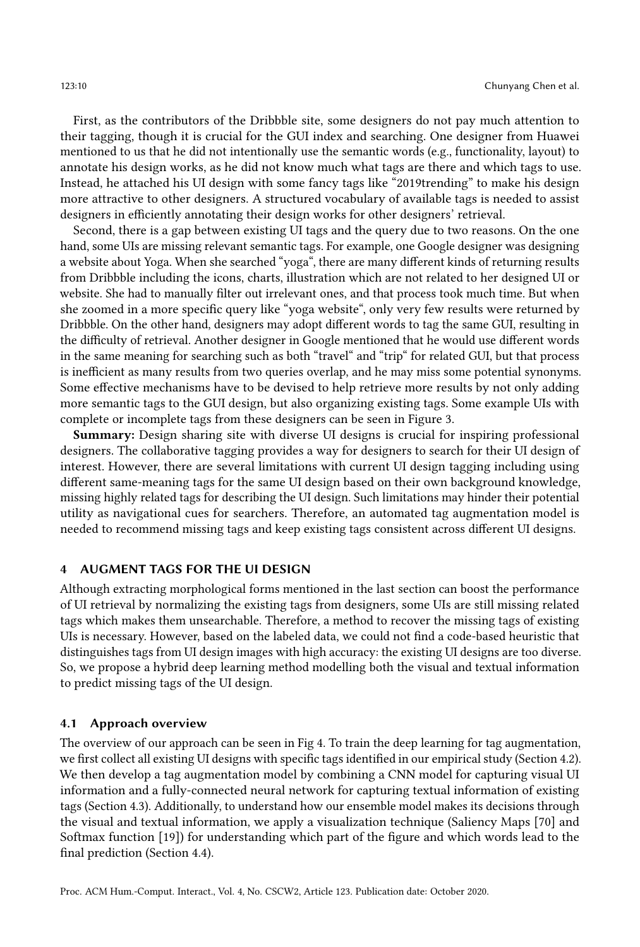First, as the contributors of the Dribbble site, some designers do not pay much attention to their tagging, though it is crucial for the GUI index and searching. One designer from Huawei mentioned to us that he did not intentionally use the semantic words (e.g., functionality, layout) to annotate his design works, as he did not know much what tags are there and which tags to use. Instead, he attached his UI design with some fancy tags like "2019trending" to make his design more attractive to other designers. A structured vocabulary of available tags is needed to assist designers in efficiently annotating their design works for other designers' retrieval.

Second, there is a gap between existing UI tags and the query due to two reasons. On the one hand, some UIs are missing relevant semantic tags. For example, one Google designer was designing a website about Yoga. When she searched "yoga", there are many different kinds of returning results from Dribbble including the icons, charts, illustration which are not related to her designed UI or website. She had to manually filter out irrelevant ones, and that process took much time. But when she zoomed in a more specific query like "yoga website", only very few results were returned by Dribbble. On the other hand, designers may adopt different words to tag the same GUI, resulting in the difficulty of retrieval. Another designer in Google mentioned that he would use different words in the same meaning for searching such as both "travel" and "trip" for related GUI, but that process is inefficient as many results from two queries overlap, and he may miss some potential synonyms. Some effective mechanisms have to be devised to help retrieve more results by not only adding more semantic tags to the GUI design, but also organizing existing tags. Some example UIs with complete or incomplete tags from these designers can be seen in Figure [3.](#page-8-0)

Summary: Design sharing site with diverse UI designs is crucial for inspiring professional designers. The collaborative tagging provides a way for designers to search for their UI design of interest. However, there are several limitations with current UI design tagging including using different same-meaning tags for the same UI design based on their own background knowledge, missing highly related tags for describing the UI design. Such limitations may hinder their potential utility as navigational cues for searchers. Therefore, an automated tag augmentation model is needed to recommend missing tags and keep existing tags consistent across different UI designs.

#### <span id="page-9-0"></span>4 AUGMENT TAGS FOR THE UI DESIGN

Although extracting morphological forms mentioned in the last section can boost the performance of UI retrieval by normalizing the existing tags from designers, some UIs are still missing related tags which makes them unsearchable. Therefore, a method to recover the missing tags of existing UIs is necessary. However, based on the labeled data, we could not find a code-based heuristic that distinguishes tags from UI design images with high accuracy: the existing UI designs are too diverse. So, we propose a hybrid deep learning method modelling both the visual and textual information to predict missing tags of the UI design.

#### 4.1 Approach overview

The overview of our approach can be seen in Fig [4.](#page-10-0) To train the deep learning for tag augmentation, we first collect all existing UI designs with specific tags identified in our empirical study (Section [4.2\)](#page-10-1). We then develop a tag augmentation model by combining a CNN model for capturing visual UI information and a fully-connected neural network for capturing textual information of existing tags (Section [4.3\)](#page-10-2). Additionally, to understand how our ensemble model makes its decisions through the visual and textual information, we apply a visualization technique (Saliency Maps [\[70\]](#page-21-22) and Softmax function [\[19\]](#page-19-23)) for understanding which part of the figure and which words lead to the final prediction (Section [4.4\)](#page-11-0).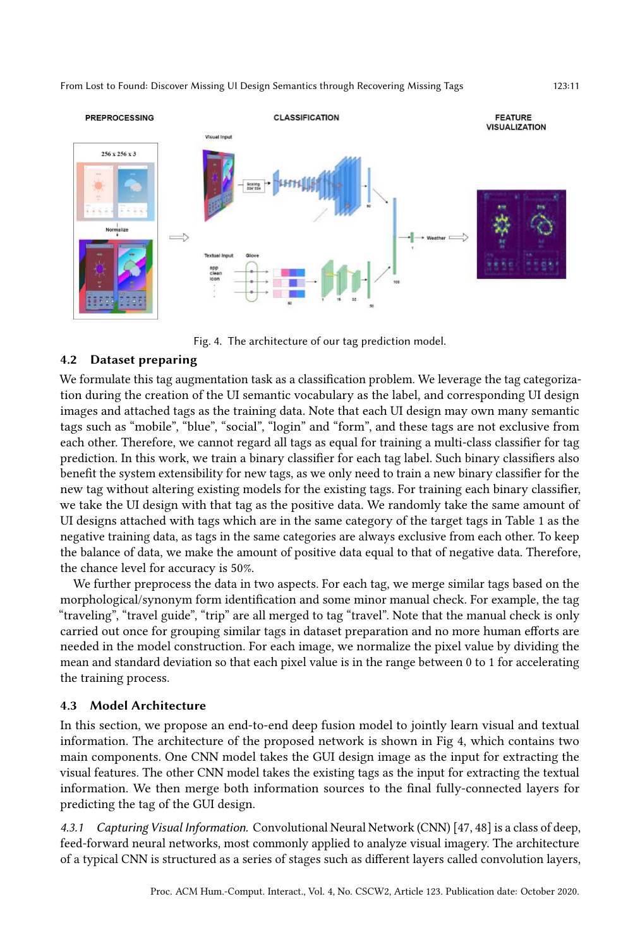<span id="page-10-0"></span>

Fig. 4. The architecture of our tag prediction model.

# <span id="page-10-1"></span>4.2 Dataset preparing

We formulate this tag augmentation task as a classification problem. We leverage the tag categorization during the creation of the UI semantic vocabulary as the label, and corresponding UI design images and attached tags as the training data. Note that each UI design may own many semantic tags such as "mobile", "blue", "social", "login" and "form", and these tags are not exclusive from each other. Therefore, we cannot regard all tags as equal for training a multi-class classifier for tag prediction. In this work, we train a binary classifier for each tag label. Such binary classifiers also benefit the system extensibility for new tags, as we only need to train a new binary classifier for the new tag without altering existing models for the existing tags. For training each binary classifier, we take the UI design with that tag as the positive data. We randomly take the same amount of UI designs attached with tags which are in the same category of the target tags in Table [1](#page-7-0) as the negative training data, as tags in the same categories are always exclusive from each other. To keep the balance of data, we make the amount of positive data equal to that of negative data. Therefore, the chance level for accuracy is 50%.

We further preprocess the data in two aspects. For each tag, we merge similar tags based on the morphological/synonym form identification and some minor manual check. For example, the tag "traveling", "travel guide", "trip" are all merged to tag "travel". Note that the manual check is only carried out once for grouping similar tags in dataset preparation and no more human efforts are needed in the model construction. For each image, we normalize the pixel value by dividing the mean and standard deviation so that each pixel value is in the range between 0 to 1 for accelerating the training process.

# <span id="page-10-2"></span>4.3 Model Architecture

In this section, we propose an end-to-end deep fusion model to jointly learn visual and textual information. The architecture of the proposed network is shown in Fig [4,](#page-10-0) which contains two main components. One CNN model takes the GUI design image as the input for extracting the visual features. The other CNN model takes the existing tags as the input for extracting the textual information. We then merge both information sources to the final fully-connected layers for predicting the tag of the GUI design.

4.3.1 Capturing Visual Information. Convolutional Neural Network (CNN) [\[47,](#page-20-19) [48\]](#page-20-20) is a class of deep, feed-forward neural networks, most commonly applied to analyze visual imagery. The architecture of a typical CNN is structured as a series of stages such as different layers called convolution layers,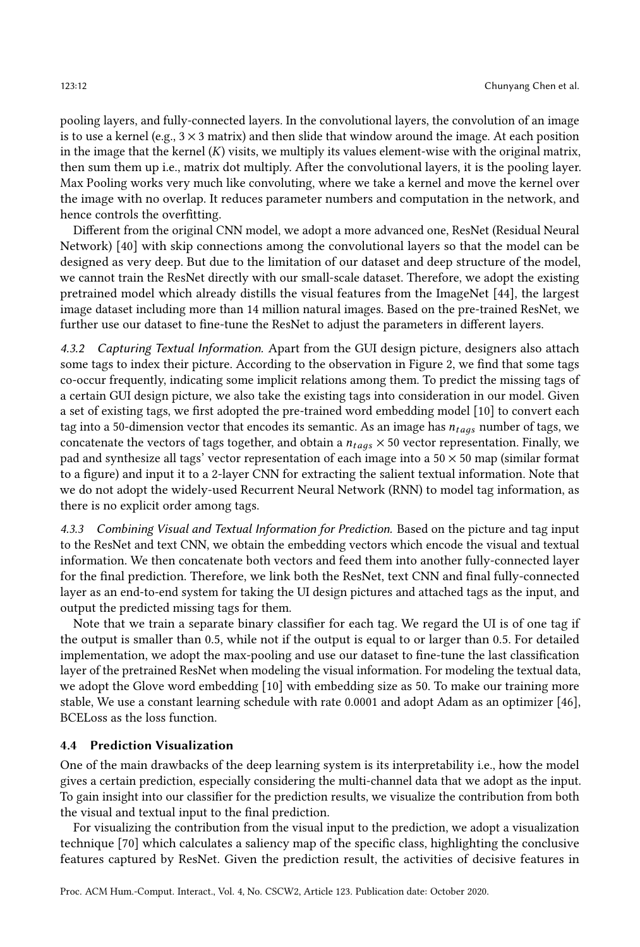pooling layers, and fully-connected layers. In the convolutional layers, the convolution of an image is to use a kernel (e.g.,  $3 \times 3$  matrix) and then slide that window around the image. At each position in the image that the kernel  $(K)$  visits, we multiply its values element-wise with the original matrix, then sum them up i.e., matrix dot multiply. After the convolutional layers, it is the pooling layer. Max Pooling works very much like convoluting, where we take a kernel and move the kernel over the image with no overlap. It reduces parameter numbers and computation in the network, and hence controls the overfitting.

Different from the original CNN model, we adopt a more advanced one, ResNet (Residual Neural Network) [\[40\]](#page-20-21) with skip connections among the convolutional layers so that the model can be designed as very deep. But due to the limitation of our dataset and deep structure of the model, we cannot train the ResNet directly with our small-scale dataset. Therefore, we adopt the existing pretrained model which already distills the visual features from the ImageNet [\[44\]](#page-20-22), the largest image dataset including more than 14 million natural images. Based on the pre-trained ResNet, we further use our dataset to fine-tune the ResNet to adjust the parameters in different layers.

4.3.2 Capturing Textual Information. Apart from the GUI design picture, designers also attach some tags to index their picture. According to the observation in Figure [2,](#page-5-0) we find that some tags co-occur frequently, indicating some implicit relations among them. To predict the missing tags of a certain GUI design picture, we also take the existing tags into consideration in our model. Given a set of existing tags, we first adopted the pre-trained word embedding model [\[10\]](#page-19-24) to convert each tag into a 50-dimension vector that encodes its semantic. As an image has  $n_{t \, a \, s}$  number of tags, we concatenate the vectors of tags together, and obtain a  $n_{tags} \times 50$  vector representation. Finally, we pad and synthesize all tags' vector representation of each image into a  $50 \times 50$  map (similar format to a figure) and input it to a 2-layer CNN for extracting the salient textual information. Note that we do not adopt the widely-used Recurrent Neural Network (RNN) to model tag information, as there is no explicit order among tags.

4.3.3 Combining Visual and Textual Information for Prediction. Based on the picture and tag input to the ResNet and text CNN, we obtain the embedding vectors which encode the visual and textual information. We then concatenate both vectors and feed them into another fully-connected layer for the final prediction. Therefore, we link both the ResNet, text CNN and final fully-connected layer as an end-to-end system for taking the UI design pictures and attached tags as the input, and output the predicted missing tags for them.

Note that we train a separate binary classifier for each tag. We regard the UI is of one tag if the output is smaller than 0.5, while not if the output is equal to or larger than 0.5. For detailed implementation, we adopt the max-pooling and use our dataset to fine-tune the last classification layer of the pretrained ResNet when modeling the visual information. For modeling the textual data, we adopt the Glove word embedding [\[10\]](#page-19-24) with embedding size as 50. To make our training more stable, We use a constant learning schedule with rate 0.0001 and adopt Adam as an optimizer [\[46\]](#page-20-23), BCELoss as the loss function.

#### <span id="page-11-0"></span>4.4 Prediction Visualization

One of the main drawbacks of the deep learning system is its interpretability i.e., how the model gives a certain prediction, especially considering the multi-channel data that we adopt as the input. To gain insight into our classifier for the prediction results, we visualize the contribution from both the visual and textual input to the final prediction.

For visualizing the contribution from the visual input to the prediction, we adopt a visualization technique [\[70\]](#page-21-22) which calculates a saliency map of the specific class, highlighting the conclusive features captured by ResNet. Given the prediction result, the activities of decisive features in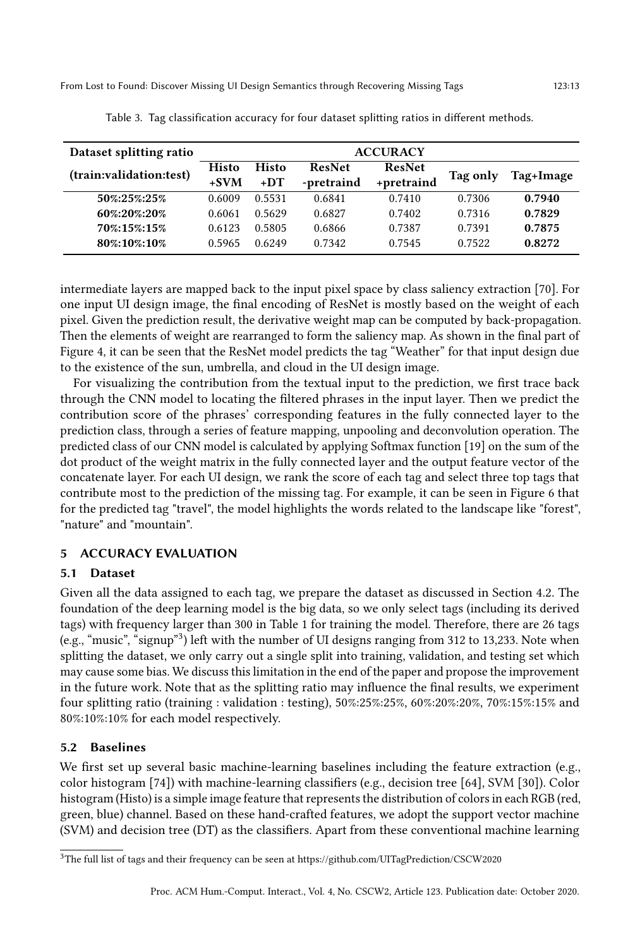<span id="page-12-1"></span>

| Dataset splitting ratio    | <b>ACCURACY</b>  |                  |                      |                      |                  |                  |
|----------------------------|------------------|------------------|----------------------|----------------------|------------------|------------------|
| (train:validation:test)    | Histo<br>$+SVM$  | Histo<br>$+DT$   | ResNet<br>-pretraind | ResNet<br>+pretraind | Tag only         | Tag+Image        |
| 50%:25%:25%                | 0.6009           | 0.5531           | 0.6841               | 0.7410               | 0.7306           | 0.7940           |
| 60%:20%:20%                | 0.6061           | 0.5629           | 0.6827               | 0.7402               | 0.7316           | 0.7829           |
| 70%:15%:15%<br>80%:10%:10% | 0.6123<br>0.5965 | 0.5805<br>0.6249 | 0.6866<br>0.7342     | 0.7387<br>0.7545     | 0.7391<br>0.7522 | 0.7875<br>0.8272 |

Table 3. Tag classification accuracy for four dataset splitting ratios in different methods.

intermediate layers are mapped back to the input pixel space by class saliency extraction [\[70\]](#page-21-22). For one input UI design image, the final encoding of ResNet is mostly based on the weight of each pixel. Given the prediction result, the derivative weight map can be computed by back-propagation. Then the elements of weight are rearranged to form the saliency map. As shown in the final part of Figure [4,](#page-10-0) it can be seen that the ResNet model predicts the tag "Weather" for that input design due to the existence of the sun, umbrella, and cloud in the UI design image.

For visualizing the contribution from the textual input to the prediction, we first trace back through the CNN model to locating the filtered phrases in the input layer. Then we predict the contribution score of the phrases' corresponding features in the fully connected layer to the prediction class, through a series of feature mapping, unpooling and deconvolution operation. The predicted class of our CNN model is calculated by applying Softmax function [\[19\]](#page-19-23) on the sum of the dot product of the weight matrix in the fully connected layer and the output feature vector of the concatenate layer. For each UI design, we rank the score of each tag and select three top tags that contribute most to the prediction of the missing tag. For example, it can be seen in Figure [6](#page-15-0) that for the predicted tag "travel", the model highlights the words related to the landscape like "forest", "nature" and "mountain".

# 5 ACCURACY EVALUATION

# 5.1 Dataset

Given all the data assigned to each tag, we prepare the dataset as discussed in Section [4.2.](#page-10-1) The foundation of the deep learning model is the big data, so we only select tags (including its derived tags) with frequency larger than 300 in Table [1](#page-7-0) for training the model. Therefore, there are 26 tags (e.g., "music", "signup"[3](#page-12-0) ) left with the number of UI designs ranging from 312 to 13,233. Note when splitting the dataset, we only carry out a single split into training, validation, and testing set which may cause some bias. We discuss this limitation in the end of the paper and propose the improvement in the future work. Note that as the splitting ratio may influence the final results, we experiment four splitting ratio (training : validation : testing), 50%:25%:25%, 60%:20%:20%, 70%:15%:15% and 80%:10%:10% for each model respectively.

# 5.2 Baselines

We first set up several basic machine-learning baselines including the feature extraction (e.g., color histogram [\[74\]](#page-21-23)) with machine-learning classifiers (e.g., decision tree [\[64\]](#page-21-24), SVM [\[30\]](#page-20-24)). Color histogram (Histo) is a simple image feature that represents the distribution of colors in each RGB (red, green, blue) channel. Based on these hand-crafted features, we adopt the support vector machine (SVM) and decision tree (DT) as the classifiers. Apart from these conventional machine learning

<span id="page-12-0"></span><sup>3</sup>The full list of tags and their frequency can be seen at<https://github.com/UITagPrediction/CSCW2020>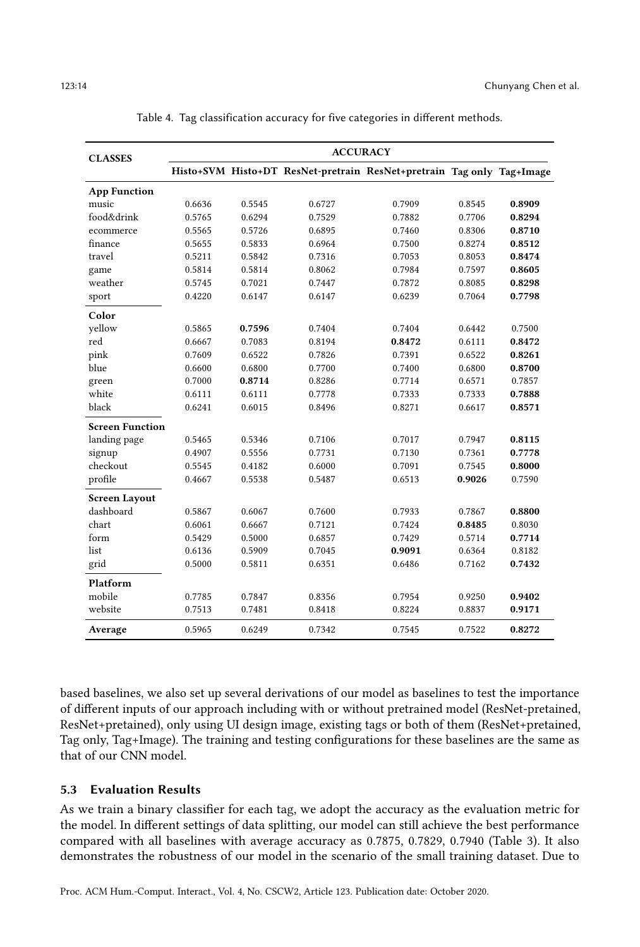<span id="page-13-0"></span>

| <b>CLASSES</b>         | <b>ACCURACY</b> |        |        |                                                                       |        |        |
|------------------------|-----------------|--------|--------|-----------------------------------------------------------------------|--------|--------|
|                        |                 |        |        | Histo+SVM Histo+DT ResNet-pretrain ResNet+pretrain Tag only Tag+Image |        |        |
| <b>App Function</b>    |                 |        |        |                                                                       |        |        |
| music                  | 0.6636          | 0.5545 | 0.6727 | 0.7909                                                                | 0.8545 | 0.8909 |
| food&drink             | 0.5765          | 0.6294 | 0.7529 | 0.7882                                                                | 0.7706 | 0.8294 |
| ecommerce              | 0.5565          | 0.5726 | 0.6895 | 0.7460                                                                | 0.8306 | 0.8710 |
| finance                | 0.5655          | 0.5833 | 0.6964 | 0.7500                                                                | 0.8274 | 0.8512 |
| travel                 | 0.5211          | 0.5842 | 0.7316 | 0.7053                                                                | 0.8053 | 0.8474 |
| game                   | 0.5814          | 0.5814 | 0.8062 | 0.7984                                                                | 0.7597 | 0.8605 |
| weather                | 0.5745          | 0.7021 | 0.7447 | 0.7872                                                                | 0.8085 | 0.8298 |
| sport                  | 0.4220          | 0.6147 | 0.6147 | 0.6239                                                                | 0.7064 | 0.7798 |
| Color                  |                 |        |        |                                                                       |        |        |
| yellow                 | 0.5865          | 0.7596 | 0.7404 | 0.7404                                                                | 0.6442 | 0.7500 |
| red                    | 0.6667          | 0.7083 | 0.8194 | 0.8472                                                                | 0.6111 | 0.8472 |
| pink                   | 0.7609          | 0.6522 | 0.7826 | 0.7391                                                                | 0.6522 | 0.8261 |
| blue                   | 0.6600          | 0.6800 | 0.7700 | 0.7400                                                                | 0.6800 | 0.8700 |
| green                  | 0.7000          | 0.8714 | 0.8286 | 0.7714                                                                | 0.6571 | 0.7857 |
| white                  | 0.6111          | 0.6111 | 0.7778 | 0.7333                                                                | 0.7333 | 0.7888 |
| black                  | 0.6241          | 0.6015 | 0.8496 | 0.8271                                                                | 0.6617 | 0.8571 |
| <b>Screen Function</b> |                 |        |        |                                                                       |        |        |
| landing page           | 0.5465          | 0.5346 | 0.7106 | 0.7017                                                                | 0.7947 | 0.8115 |
| signup                 | 0.4907          | 0.5556 | 0.7731 | 0.7130                                                                | 0.7361 | 0.7778 |
| checkout               | 0.5545          | 0.4182 | 0.6000 | 0.7091                                                                | 0.7545 | 0.8000 |
| profile                | 0.4667          | 0.5538 | 0.5487 | 0.6513                                                                | 0.9026 | 0.7590 |
| <b>Screen Layout</b>   |                 |        |        |                                                                       |        |        |
| dashboard              | 0.5867          | 0.6067 | 0.7600 | 0.7933                                                                | 0.7867 | 0.8800 |
| chart                  | 0.6061          | 0.6667 | 0.7121 | 0.7424                                                                | 0.8485 | 0.8030 |
| form                   | 0.5429          | 0.5000 | 0.6857 | 0.7429                                                                | 0.5714 | 0.7714 |
| list                   | 0.6136          | 0.5909 | 0.7045 | 0.9091                                                                | 0.6364 | 0.8182 |
| grid                   | 0.5000          | 0.5811 | 0.6351 | 0.6486                                                                | 0.7162 | 0.7432 |
| Platform               |                 |        |        |                                                                       |        |        |
| mobile                 | 0.7785          | 0.7847 | 0.8356 | 0.7954                                                                | 0.9250 | 0.9402 |
| website                | 0.7513          | 0.7481 | 0.8418 | 0.8224                                                                | 0.8837 | 0.9171 |
| Average                | 0.5965          | 0.6249 | 0.7342 | 0.7545                                                                | 0.7522 | 0.8272 |

Table 4. Tag classification accuracy for five categories in different methods.

based baselines, we also set up several derivations of our model as baselines to test the importance of different inputs of our approach including with or without pretrained model (ResNet-pretained, ResNet+pretained), only using UI design image, existing tags or both of them (ResNet+pretained, Tag only, Tag+Image). The training and testing configurations for these baselines are the same as that of our CNN model.

#### <span id="page-13-1"></span>5.3 Evaluation Results

As we train a binary classifier for each tag, we adopt the accuracy as the evaluation metric for the model. In different settings of data splitting, our model can still achieve the best performance compared with all baselines with average accuracy as 0.7875, 0.7829, 0.7940 (Table [3\)](#page-12-1). It also demonstrates the robustness of our model in the scenario of the small training dataset. Due to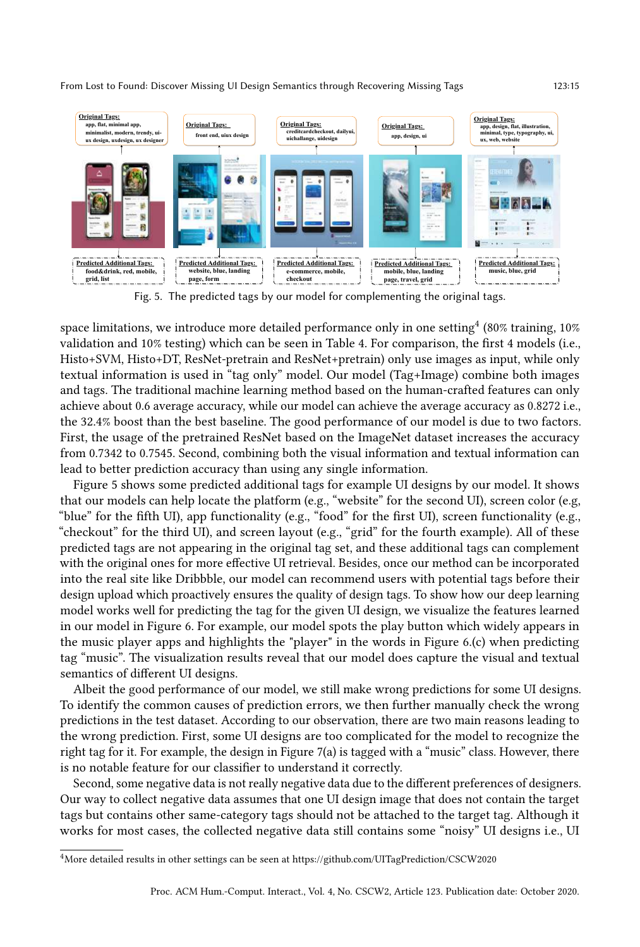<span id="page-14-1"></span>

Fig. 5. The predicted tags by our model for complementing the original tags.

space limitations, we introduce more detailed performance only in one setting $^4$  $^4$  (80% training, 10% validation and 10% testing) which can be seen in Table [4.](#page-13-0) For comparison, the first 4 models (i.e., Histo+SVM, Histo+DT, ResNet-pretrain and ResNet+pretrain) only use images as input, while only textual information is used in "tag only" model. Our model (Tag+Image) combine both images and tags. The traditional machine learning method based on the human-crafted features can only achieve about 0.6 average accuracy, while our model can achieve the average accuracy as 0.8272 i.e., the 32.4% boost than the best baseline. The good performance of our model is due to two factors. First, the usage of the pretrained ResNet based on the ImageNet dataset increases the accuracy from 0.7342 to 0.7545. Second, combining both the visual information and textual information can lead to better prediction accuracy than using any single information.

Figure [5](#page-14-1) shows some predicted additional tags for example UI designs by our model. It shows that our models can help locate the platform (e.g., "website" for the second UI), screen color (e.g, "blue" for the fifth UI), app functionality (e.g., "food" for the first UI), screen functionality (e.g., "checkout" for the third UI), and screen layout (e.g., "grid" for the fourth example). All of these predicted tags are not appearing in the original tag set, and these additional tags can complement with the original ones for more effective UI retrieval. Besides, once our method can be incorporated into the real site like Dribbble, our model can recommend users with potential tags before their design upload which proactively ensures the quality of design tags. To show how our deep learning model works well for predicting the tag for the given UI design, we visualize the features learned in our model in Figure [6.](#page-15-0) For example, our model spots the play button which widely appears in the music player apps and highlights the "player" in the words in Figure [6.](#page-15-0)(c) when predicting tag "music". The visualization results reveal that our model does capture the visual and textual semantics of different UI designs.

Albeit the good performance of our model, we still make wrong predictions for some UI designs. To identify the common causes of prediction errors, we then further manually check the wrong predictions in the test dataset. According to our observation, there are two main reasons leading to the wrong prediction. First, some UI designs are too complicated for the model to recognize the right tag for it. For example, the design in Figure [7\(a\)](#page-15-1) is tagged with a "music" class. However, there is no notable feature for our classifier to understand it correctly.

Second, some negative data is not really negative data due to the different preferences of designers. Our way to collect negative data assumes that one UI design image that does not contain the target tags but contains other same-category tags should not be attached to the target tag. Although it works for most cases, the collected negative data still contains some "noisy" UI designs i.e., UI

<span id="page-14-0"></span><sup>4</sup>More detailed results in other settings can be seen at<https://github.com/UITagPrediction/CSCW2020>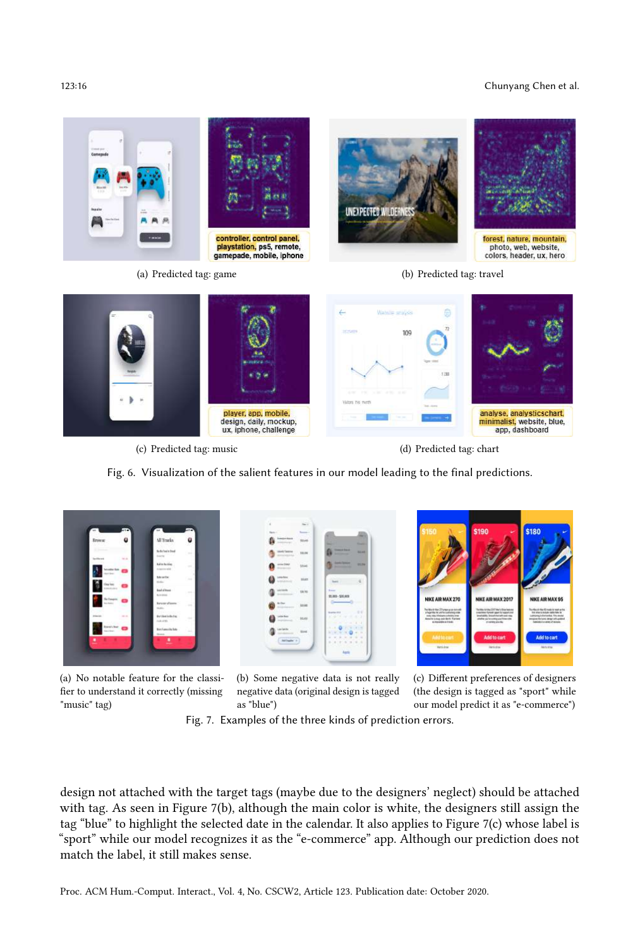#### 123:16 Chunyang Chen et al.

<span id="page-15-0"></span>

(c) Predicted tag: music (d) Predicted tag: chart

Fig. 6. Visualization of the salient features in our model leading to the final predictions.

<span id="page-15-1"></span>

(a) No notable feature for the classifier to understand it correctly (missing "music" tag)

<span id="page-15-2"></span>(b) Some negative data is not really negative data (original design is tagged as "blue")

<span id="page-15-3"></span>(c) Different preferences of designers (the design is tagged as "sport" while our model predict it as "e-commerce")

Fig. 7. Examples of the three kinds of prediction errors.

design not attached with the target tags (maybe due to the designers' neglect) should be attached with tag. As seen in Figure [7\(b\),](#page-15-2) although the main color is white, the designers still assign the tag "blue" to highlight the selected date in the calendar. It also applies to Figure [7\(c\)](#page-15-3) whose label is "sport" while our model recognizes it as the "e-commerce" app. Although our prediction does not match the label, it still makes sense.

Proc. ACM Hum.-Comput. Interact., Vol. 4, No. CSCW2, Article 123. Publication date: October 2020.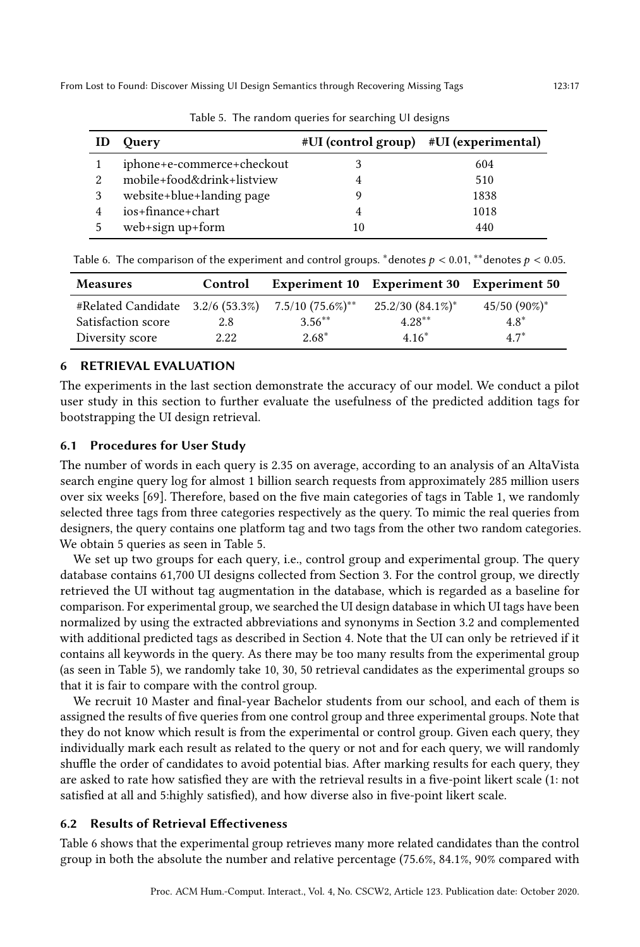<span id="page-16-0"></span>

| ID | <b>Query</b>               | #UI (control group) #UI (experimental) |      |
|----|----------------------------|----------------------------------------|------|
|    | iphone+e-commerce+checkout |                                        | 604  |
| 2. | mobile+food&drink+listview |                                        | 510  |
|    | website+blue+landing page  |                                        | 1838 |
|    | ios+finance+chart          |                                        | 1018 |
|    | web+sign up+form           | 10                                     | 440  |

Table 5. The random queries for searching UI designs

| <b>Measures</b>                     | Control |                        | <b>Experiment 10 Experiment 30 Experiment 50</b> |                            |
|-------------------------------------|---------|------------------------|--------------------------------------------------|----------------------------|
| $\#Related$ Candidate 3.2/6 (53.3%) |         | $7.5/10~(75.6\%)^{**}$ | $25.2/30(84.1\%)^*$                              | $45/50$ (90%) <sup>*</sup> |
| Satisfaction score                  | 2.8     | $3.56***$              | $4.28**$                                         | $4.8*$                     |
| Diversity score                     | 2.22    | $2.68*$                | $4.16*$                                          | $4.7^*$                    |

<span id="page-16-1"></span>Table 6. The comparison of the experiment and control groups. \*denotes  $p < 0.01$ , \*\*denotes  $p < 0.05$ .

6 RETRIEVAL EVALUATION

The experiments in the last section demonstrate the accuracy of our model. We conduct a pilot user study in this section to further evaluate the usefulness of the predicted addition tags for bootstrapping the UI design retrieval.

### 6.1 Procedures for User Study

The number of words in each query is 2.35 on average, according to an analysis of an AltaVista search engine query log for almost 1 billion search requests from approximately 285 million users over six weeks [\[69\]](#page-21-25). Therefore, based on the five main categories of tags in Table [1,](#page-7-0) we randomly selected three tags from three categories respectively as the query. To mimic the real queries from designers, the query contains one platform tag and two tags from the other two random categories. We obtain 5 queries as seen in Table [5.](#page-16-0)

We set up two groups for each query, i.e., control group and experimental group. The query database contains 61,700 UI designs collected from Section [3.](#page-5-1) For the control group, we directly retrieved the UI without tag augmentation in the database, which is regarded as a baseline for comparison. For experimental group, we searched the UI design database in which UI tags have been normalized by using the extracted abbreviations and synonyms in Section [3.2](#page-8-1) and complemented with additional predicted tags as described in Section [4.](#page-9-0) Note that the UI can only be retrieved if it contains all keywords in the query. As there may be too many results from the experimental group (as seen in Table [5\)](#page-16-0), we randomly take 10, 30, 50 retrieval candidates as the experimental groups so that it is fair to compare with the control group.

We recruit 10 Master and final-year Bachelor students from our school, and each of them is assigned the results of five queries from one control group and three experimental groups. Note that they do not know which result is from the experimental or control group. Given each query, they individually mark each result as related to the query or not and for each query, we will randomly shuffle the order of candidates to avoid potential bias. After marking results for each query, they are asked to rate how satisfied they are with the retrieval results in a five-point likert scale (1: not satisfied at all and 5:highly satisfied), and how diverse also in five-point likert scale.

#### 6.2 Results of Retrieval Effectiveness

Table [6](#page-16-1) shows that the experimental group retrieves many more related candidates than the control group in both the absolute the number and relative percentage (75.6%, 84.1%, 90% compared with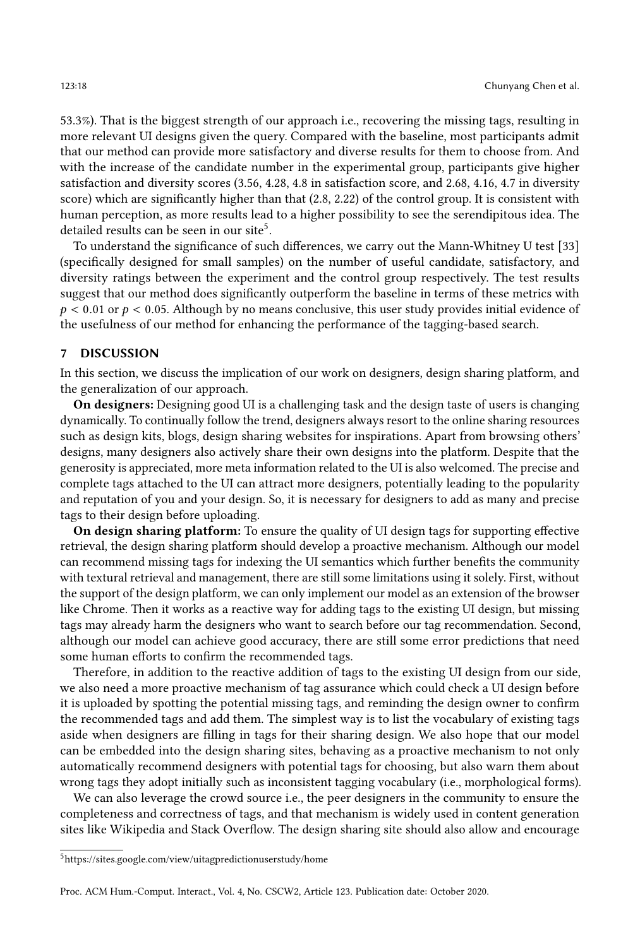53.3%). That is the biggest strength of our approach i.e., recovering the missing tags, resulting in more relevant UI designs given the query. Compared with the baseline, most participants admit that our method can provide more satisfactory and diverse results for them to choose from. And with the increase of the candidate number in the experimental group, participants give higher satisfaction and diversity scores (3.56, 4.28, 4.8 in satisfaction score, and 2.68, 4.16, 4.7 in diversity score) which are significantly higher than that (2.8, 2.22) of the control group. It is consistent with human perception, as more results lead to a higher possibility to see the serendipitous idea. The detailed results can be seen in our site<sup>[5](#page-17-0)</sup>.

To understand the significance of such differences, we carry out the Mann-Whitney U test [\[33\]](#page-20-25) (specifically designed for small samples) on the number of useful candidate, satisfactory, and diversity ratings between the experiment and the control group respectively. The test results suggest that our method does significantly outperform the baseline in terms of these metrics with  $p < 0.01$  or  $p < 0.05$ . Although by no means conclusive, this user study provides initial evidence of the usefulness of our method for enhancing the performance of the tagging-based search.

#### 7 DISCUSSION

In this section, we discuss the implication of our work on designers, design sharing platform, and the generalization of our approach.

On designers: Designing good UI is a challenging task and the design taste of users is changing dynamically. To continually follow the trend, designers always resort to the online sharing resources such as design kits, blogs, design sharing websites for inspirations. Apart from browsing others' designs, many designers also actively share their own designs into the platform. Despite that the generosity is appreciated, more meta information related to the UI is also welcomed. The precise and complete tags attached to the UI can attract more designers, potentially leading to the popularity and reputation of you and your design. So, it is necessary for designers to add as many and precise tags to their design before uploading.

On design sharing platform: To ensure the quality of UI design tags for supporting effective retrieval, the design sharing platform should develop a proactive mechanism. Although our model can recommend missing tags for indexing the UI semantics which further benefits the community with textural retrieval and management, there are still some limitations using it solely. First, without the support of the design platform, we can only implement our model as an extension of the browser like Chrome. Then it works as a reactive way for adding tags to the existing UI design, but missing tags may already harm the designers who want to search before our tag recommendation. Second, although our model can achieve good accuracy, there are still some error predictions that need some human efforts to confirm the recommended tags.

Therefore, in addition to the reactive addition of tags to the existing UI design from our side, we also need a more proactive mechanism of tag assurance which could check a UI design before it is uploaded by spotting the potential missing tags, and reminding the design owner to confirm the recommended tags and add them. The simplest way is to list the vocabulary of existing tags aside when designers are filling in tags for their sharing design. We also hope that our model can be embedded into the design sharing sites, behaving as a proactive mechanism to not only automatically recommend designers with potential tags for choosing, but also warn them about wrong tags they adopt initially such as inconsistent tagging vocabulary (i.e., morphological forms).

We can also leverage the crowd source i.e., the peer designers in the community to ensure the completeness and correctness of tags, and that mechanism is widely used in content generation sites like Wikipedia and Stack Overflow. The design sharing site should also allow and encourage

<span id="page-17-0"></span> $5$ <https://sites.google.com/view/uitagpredictionuserstudy/home>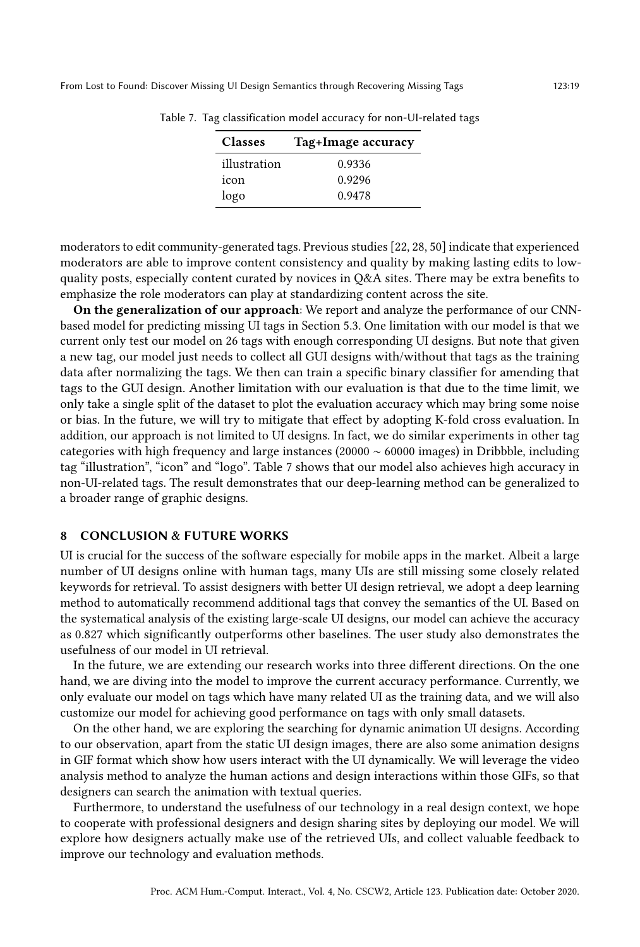| <b>Classes</b> | Tag+Image accuracy |
|----------------|--------------------|
| illustration   | 0.9336             |
| icon           | 0.9296             |
| logo           | 0.9478             |

<span id="page-18-0"></span>Table 7. Tag classification model accuracy for non-UI-related tags

moderators to edit community-generated tags. Previous studies [\[22,](#page-19-25) [28,](#page-20-3) [50\]](#page-20-26) indicate that experienced moderators are able to improve content consistency and quality by making lasting edits to lowquality posts, especially content curated by novices in Q&A sites. There may be extra benefits to emphasize the role moderators can play at standardizing content across the site.

On the generalization of our approach: We report and analyze the performance of our CNNbased model for predicting missing UI tags in Section [5.3.](#page-13-1) One limitation with our model is that we current only test our model on 26 tags with enough corresponding UI designs. But note that given a new tag, our model just needs to collect all GUI designs with/without that tags as the training data after normalizing the tags. We then can train a specific binary classifier for amending that tags to the GUI design. Another limitation with our evaluation is that due to the time limit, we only take a single split of the dataset to plot the evaluation accuracy which may bring some noise or bias. In the future, we will try to mitigate that effect by adopting K-fold cross evaluation. In addition, our approach is not limited to UI designs. In fact, we do similar experiments in other tag categories with high frequency and large instances (20000 ∼ 60000 images) in Dribbble, including tag "illustration", "icon" and "logo". Table [7](#page-18-0) shows that our model also achieves high accuracy in non-UI-related tags. The result demonstrates that our deep-learning method can be generalized to a broader range of graphic designs.

#### 8 CONCLUSION & FUTURE WORKS

UI is crucial for the success of the software especially for mobile apps in the market. Albeit a large number of UI designs online with human tags, many UIs are still missing some closely related keywords for retrieval. To assist designers with better UI design retrieval, we adopt a deep learning method to automatically recommend additional tags that convey the semantics of the UI. Based on the systematical analysis of the existing large-scale UI designs, our model can achieve the accuracy as 0.827 which significantly outperforms other baselines. The user study also demonstrates the usefulness of our model in UI retrieval.

In the future, we are extending our research works into three different directions. On the one hand, we are diving into the model to improve the current accuracy performance. Currently, we only evaluate our model on tags which have many related UI as the training data, and we will also customize our model for achieving good performance on tags with only small datasets.

On the other hand, we are exploring the searching for dynamic animation UI designs. According to our observation, apart from the static UI design images, there are also some animation designs in GIF format which show how users interact with the UI dynamically. We will leverage the video analysis method to analyze the human actions and design interactions within those GIFs, so that designers can search the animation with textual queries.

Furthermore, to understand the usefulness of our technology in a real design context, we hope to cooperate with professional designers and design sharing sites by deploying our model. We will explore how designers actually make use of the retrieved UIs, and collect valuable feedback to improve our technology and evaluation methods.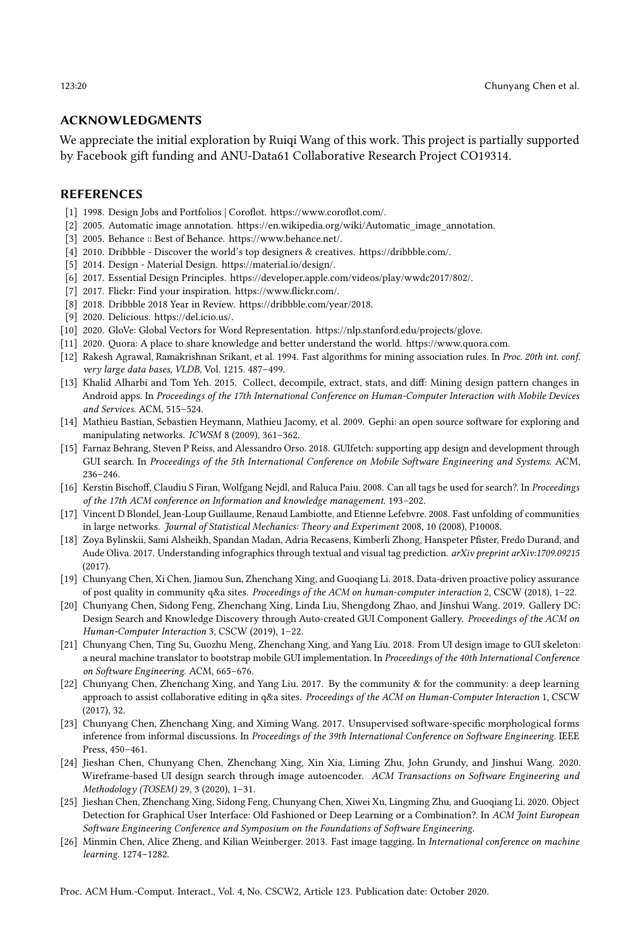#### ACKNOWLEDGMENTS

We appreciate the initial exploration by Ruiqi Wang of this work. This project is partially supported by Facebook gift funding and ANU-Data61 Collaborative Research Project CO19314.

#### **REFERENCES**

- <span id="page-19-3"></span>[1] 1998. Design Jobs and Portfolios | Coroflot. [https://www.coroflot.com/.](https://www.coroflot.com/)
- <span id="page-19-15"></span>[2] 2005. Automatic image annotation. [https://en.wikipedia.org/wiki/Automatic\\_image\\_annotation.](https://en.wikipedia.org/wiki/Automatic_image_annotation)
- <span id="page-19-2"></span>[3] 2005. Behance :: Best of Behance. [https://www.behance.net/.](https://www.behance.net/)
- <span id="page-19-1"></span>[4] 2010. Dribbble - Discover the world's top designers & creatives. [https://dribbble.com/.](https://dribbble.com/)
- <span id="page-19-21"></span>[5] 2014. Design - Material Design. [https://material.io/design/.](https://material.io/design/)
- <span id="page-19-0"></span>[6] 2017. Essential Design Principles. [https://developer.apple.com/videos/play/wwdc2017/802/.](https://developer.apple.com/videos/play/wwdc2017/802/)
- <span id="page-19-12"></span>[7] 2017. Flickr: Find your inspiration. [https://www.flickr.com/.](https://www.flickr.com/)
- <span id="page-19-4"></span>[8] 2018. Dribbble 2018 Year in Review. [https://dribbble.com/year/2018.](https://dribbble.com/year/2018)
- <span id="page-19-13"></span>[9] 2020. Delicious. [https://del.icio.us/.](https://del.icio.us/)
- <span id="page-19-24"></span>[10] 2020. GloVe: Global Vectors for Word Representation. [https://nlp.stanford.edu/projects/glove.](https://nlp.stanford.edu/projects/glove)
- <span id="page-19-11"></span>[11] 2020. Quora: A place to share knowledge and better understand the world. [https://www.quora.com.](https://www.quora.com)
- <span id="page-19-18"></span>[12] Rakesh Agrawal, Ramakrishnan Srikant, et al. 1994. Fast algorithms for mining association rules. In Proc. 20th int. conf. very large data bases, VLDB, Vol. 1215. 487–499.
- <span id="page-19-5"></span>[13] Khalid Alharbi and Tom Yeh. 2015. Collect, decompile, extract, stats, and diff: Mining design pattern changes in Android apps. In Proceedings of the 17th International Conference on Human-Computer Interaction with Mobile Devices and Services. ACM, 515–524.
- <span id="page-19-20"></span>[14] Mathieu Bastian, Sebastien Heymann, Mathieu Jacomy, et al. 2009. Gephi: an open source software for exploring and manipulating networks. ICWSM 8 (2009), 361–362.
- <span id="page-19-10"></span>[15] Farnaz Behrang, Steven P Reiss, and Alessandro Orso. 2018. GUIfetch: supporting app design and development through GUI search. In Proceedings of the 5th International Conference on Mobile Software Engineering and Systems. ACM, 236–246.
- <span id="page-19-14"></span>[16] Kerstin Bischoff, Claudiu S Firan, Wolfgang Nejdl, and Raluca Paiu. 2008. Can all tags be used for search?. In Proceedings of the 17th ACM conference on Information and knowledge management. 193–202.
- <span id="page-19-19"></span>[17] Vincent D Blondel, Jean-Loup Guillaume, Renaud Lambiotte, and Etienne Lefebvre. 2008. Fast unfolding of communities in large networks. Journal of Statistical Mechanics: Theory and Experiment 2008, 10 (2008), P10008.
- <span id="page-19-17"></span>[18] Zoya Bylinskii, Sami Alsheikh, Spandan Madan, Adria Recasens, Kimberli Zhong, Hanspeter Pfister, Fredo Durand, and Aude Oliva. 2017. Understanding infographics through textual and visual tag prediction. arXiv preprint arXiv:1709.09215  $(2017)$
- <span id="page-19-23"></span>[19] Chunyang Chen, Xi Chen, Jiamou Sun, Zhenchang Xing, and Guoqiang Li. 2018. Data-driven proactive policy assurance of post quality in community q&a sites. Proceedings of the ACM on human-computer interaction 2, CSCW (2018), 1–22.
- <span id="page-19-8"></span>[20] Chunyang Chen, Sidong Feng, Zhenchang Xing, Linda Liu, Shengdong Zhao, and Jinshui Wang. 2019. Gallery DC: Design Search and Knowledge Discovery through Auto-created GUI Component Gallery. Proceedings of the ACM on Human-Computer Interaction 3, CSCW (2019), 1–22.
- <span id="page-19-7"></span>[21] Chunyang Chen, Ting Su, Guozhu Meng, Zhenchang Xing, and Yang Liu. 2018. From UI design image to GUI skeleton: a neural machine translator to bootstrap mobile GUI implementation. In Proceedings of the 40th International Conference on Software Engineering. ACM, 665–676.
- <span id="page-19-25"></span>[22] Chunyang Chen, Zhenchang Xing, and Yang Liu. 2017. By the community & for the community: a deep learning approach to assist collaborative editing in q&a sites. Proceedings of the ACM on Human-Computer Interaction 1, CSCW (2017), 32.
- <span id="page-19-22"></span>[23] Chunyang Chen, Zhenchang Xing, and Ximing Wang. 2017. Unsupervised software-specific morphological forms inference from informal discussions. In Proceedings of the 39th International Conference on Software Engineering. IEEE Press, 450–461.
- <span id="page-19-9"></span>[24] Jieshan Chen, Chunyang Chen, Zhenchang Xing, Xin Xia, Liming Zhu, John Grundy, and Jinshui Wang. 2020. Wireframe-based UI design search through image autoencoder. ACM Transactions on Software Engineering and Methodology (TOSEM) 29, 3 (2020), 1–31.
- <span id="page-19-6"></span>[25] Jieshan Chen, Zhenchang Xing, Sidong Feng, Chunyang Chen, Xiwei Xu, Lingming Zhu, and Guoqiang Li. 2020. Object Detection for Graphical User Interface: Old Fashioned or Deep Learning or a Combination?. In ACM Joint European Software Engineering Conference and Symposium on the Foundations of Software Engineering.
- <span id="page-19-16"></span>[26] Minmin Chen, Alice Zheng, and Kilian Weinberger. 2013. Fast image tagging. In International conference on machine learning. 1274–1282.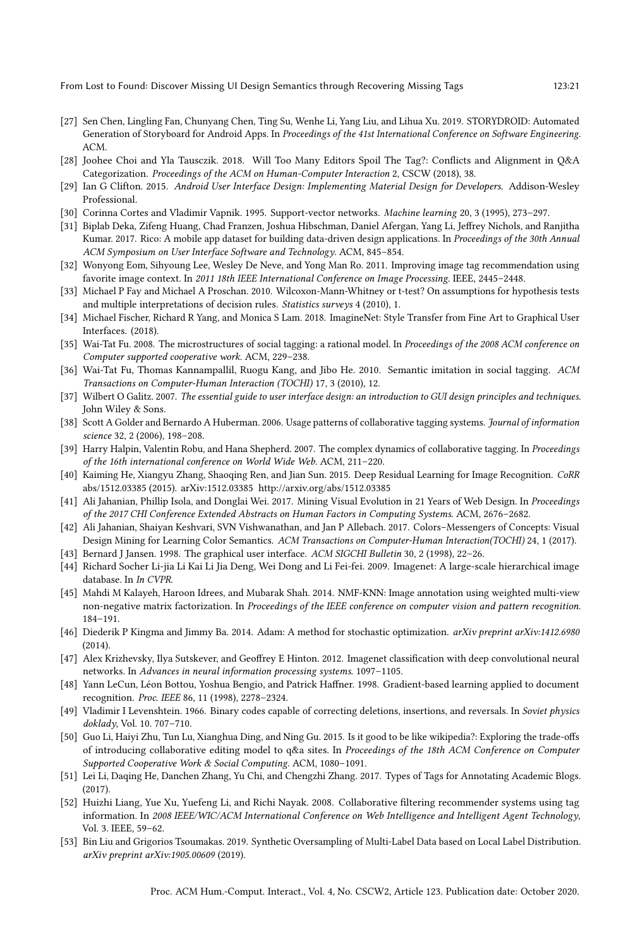- <span id="page-20-8"></span>[27] Sen Chen, Lingling Fan, Chunyang Chen, Ting Su, Wenhe Li, Yang Liu, and Lihua Xu. 2019. STORYDROID: Automated Generation of Storyboard for Android Apps. In Proceedings of the 41st International Conference on Software Engineering. ACM.
- <span id="page-20-3"></span>[28] Joohee Choi and Yla Tausczik. 2018. Will Too Many Editors Spoil The Tag?: Conflicts and Alignment in Q&A Categorization. Proceedings of the ACM on Human-Computer Interaction 2, CSCW (2018), 38.
- <span id="page-20-1"></span>[29] Ian G Clifton. 2015. Android User Interface Design: Implementing Material Design for Developers. Addison-Wesley Professional.
- <span id="page-20-24"></span>[30] Corinna Cortes and Vladimir Vapnik. 1995. Support-vector networks. Machine learning 20, 3 (1995), 273–297.
- <span id="page-20-10"></span>[31] Biplab Deka, Zifeng Huang, Chad Franzen, Joshua Hibschman, Daniel Afergan, Yang Li, Jeffrey Nichols, and Ranjitha Kumar. 2017. Rico: A mobile app dataset for building data-driven design applications. In Proceedings of the 30th Annual ACM Symposium on User Interface Software and Technology. ACM, 845–854.
- <span id="page-20-15"></span>[32] Wonyong Eom, Sihyoung Lee, Wesley De Neve, and Yong Man Ro. 2011. Improving image tag recommendation using favorite image context. In 2011 18th IEEE International Conference on Image Processing. IEEE, 2445–2448.
- <span id="page-20-25"></span>[33] Michael P Fay and Michael A Proschan. 2010. Wilcoxon-Mann-Whitney or t-test? On assumptions for hypothesis tests and multiple interpretations of decision rules. Statistics surveys 4 (2010), 1.
- <span id="page-20-9"></span>[34] Michael Fischer, Richard R Yang, and Monica S Lam. 2018. ImagineNet: Style Transfer from Fine Art to Graphical User Interfaces. (2018).
- <span id="page-20-5"></span>[35] Wai-Tat Fu. 2008. The microstructures of social tagging: a rational model. In Proceedings of the 2008 ACM conference on Computer supported cooperative work. ACM, 229–238.
- <span id="page-20-11"></span>[36] Wai-Tat Fu, Thomas Kannampallil, Ruogu Kang, and Jibo He. 2010. Semantic imitation in social tagging. ACM Transactions on Computer-Human Interaction (TOCHI) 17, 3 (2010), 12.
- <span id="page-20-2"></span>[37] Wilbert O Galitz. 2007. The essential guide to user interface design: an introduction to GUI design principles and techniques. John Wiley & Sons.
- <span id="page-20-4"></span>[38] Scott A Golder and Bernardo A Huberman. 2006. Usage patterns of collaborative tagging systems. Journal of information science 32, 2 (2006), 198–208.
- <span id="page-20-12"></span>[39] Harry Halpin, Valentin Robu, and Hana Shepherd. 2007. The complex dynamics of collaborative tagging. In Proceedings of the 16th international conference on World Wide Web. ACM, 211–220.
- <span id="page-20-21"></span>[40] Kaiming He, Xiangyu Zhang, Shaoqing Ren, and Jian Sun. 2015. Deep Residual Learning for Image Recognition. CoRR abs/1512.03385 (2015). arXiv[:1512.03385 http://arxiv.org/abs/1512.03385](http://arxiv.org/abs/1512.03385)
- <span id="page-20-6"></span>[41] Ali Jahanian, Phillip Isola, and Donglai Wei. 2017. Mining Visual Evolution in 21 Years of Web Design. In Proceedings of the 2017 CHI Conference Extended Abstracts on Human Factors in Computing Systems. ACM, 2676–2682.
- <span id="page-20-7"></span>[42] Ali Jahanian, Shaiyan Keshvari, SVN Vishwanathan, and Jan P Allebach. 2017. Colors–Messengers of Concepts: Visual Design Mining for Learning Color Semantics. ACM Transactions on Computer-Human Interaction(TOCHI) 24, 1 (2017).
- <span id="page-20-0"></span>[43] Bernard J Jansen. 1998. The graphical user interface. ACM SIGCHI Bulletin 30, 2 (1998), 22–26.
- <span id="page-20-22"></span>[44] Richard Socher Li-jia Li Kai Li Jia Deng, Wei Dong and Li Fei-fei. 2009. Imagenet: A large-scale hierarchical image database. In In CVPR.
- <span id="page-20-16"></span>[45] Mahdi M Kalayeh, Haroon Idrees, and Mubarak Shah. 2014. NMF-KNN: Image annotation using weighted multi-view non-negative matrix factorization. In Proceedings of the IEEE conference on computer vision and pattern recognition. 184–191.
- <span id="page-20-23"></span>[46] Diederik P Kingma and Jimmy Ba. 2014. Adam: A method for stochastic optimization. arXiv preprint arXiv:1412.6980 (2014).
- <span id="page-20-19"></span>[47] Alex Krizhevsky, Ilya Sutskever, and Geoffrey E Hinton. 2012. Imagenet classification with deep convolutional neural networks. In Advances in neural information processing systems. 1097–1105.
- <span id="page-20-20"></span>[48] Yann LeCun, Léon Bottou, Yoshua Bengio, and Patrick Haffner. 1998. Gradient-based learning applied to document recognition. Proc. IEEE 86, 11 (1998), 2278–2324.
- <span id="page-20-18"></span>[49] Vladimir I Levenshtein. 1966. Binary codes capable of correcting deletions, insertions, and reversals. In Soviet physics doklady, Vol. 10. 707–710.
- <span id="page-20-26"></span>[50] Guo Li, Haiyi Zhu, Tun Lu, Xianghua Ding, and Ning Gu. 2015. Is it good to be like wikipedia?: Exploring the trade-offs of introducing collaborative editing model to q&a sites. In Proceedings of the 18th ACM Conference on Computer Supported Cooperative Work & Social Computing. ACM, 1080–1091.
- <span id="page-20-13"></span>[51] Lei Li, Daqing He, Danchen Zhang, Yu Chi, and Chengzhi Zhang. 2017. Types of Tags for Annotating Academic Blogs. (2017).
- <span id="page-20-14"></span>[52] Huizhi Liang, Yue Xu, Yuefeng Li, and Richi Nayak. 2008. Collaborative filtering recommender systems using tag information. In 2008 IEEE/WIC/ACM International Conference on Web Intelligence and Intelligent Agent Technology, Vol. 3. IEEE, 59–62.
- <span id="page-20-17"></span>[53] Bin Liu and Grigorios Tsoumakas. 2019. Synthetic Oversampling of Multi-Label Data based on Local Label Distribution. arXiv preprint arXiv:1905.00609 (2019).